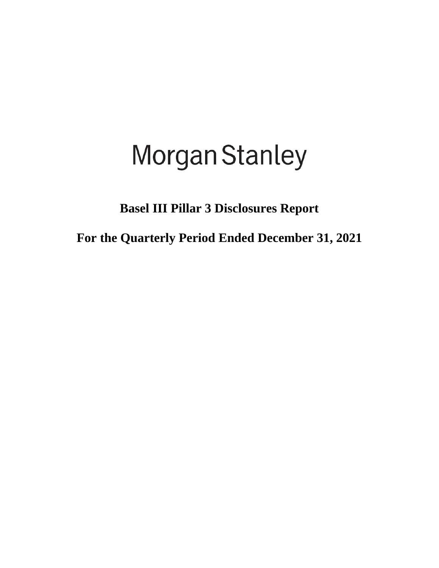# **Morgan Stanley**

**Basel III Pillar 3 Disclosures Report**

**For the Quarterly Period Ended December 31, 2021**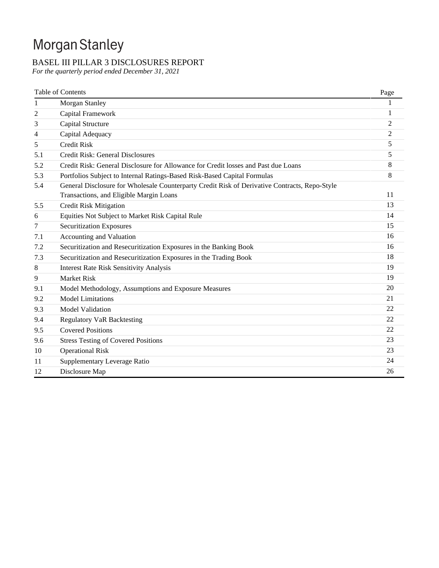## Morgan Stanley

## BASEL III PILLAR 3 DISCLOSURES REPORT

*For the quarterly period ended December 31, 2021*

|     | Table of Contents                                                                             | Page           |
|-----|-----------------------------------------------------------------------------------------------|----------------|
| 1   | Morgan Stanley                                                                                |                |
| 2   | Capital Framework                                                                             | 1              |
| 3   | Capital Structure                                                                             | 2              |
| 4   | Capital Adequacy                                                                              | $\overline{c}$ |
| 5   | <b>Credit Risk</b>                                                                            | 5              |
| 5.1 | Credit Risk: General Disclosures                                                              | 5              |
| 5.2 | Credit Risk: General Disclosure for Allowance for Credit losses and Past due Loans            | 8              |
| 5.3 | Portfolios Subject to Internal Ratings-Based Risk-Based Capital Formulas                      | 8              |
| 5.4 | General Disclosure for Wholesale Counterparty Credit Risk of Derivative Contracts, Repo-Style |                |
|     | Transactions, and Eligible Margin Loans                                                       | 11             |
| 5.5 | <b>Credit Risk Mitigation</b>                                                                 | 13             |
| 6   | Equities Not Subject to Market Risk Capital Rule                                              | 14             |
| 7   | <b>Securitization Exposures</b>                                                               | 15             |
| 7.1 | Accounting and Valuation                                                                      | 16             |
| 7.2 | Securitization and Resecuritization Exposures in the Banking Book                             | 16             |
| 7.3 | Securitization and Resecuritization Exposures in the Trading Book                             | 18             |
| 8   | <b>Interest Rate Risk Sensitivity Analysis</b>                                                | 19             |
| 9   | <b>Market Risk</b>                                                                            | 19             |
| 9.1 | Model Methodology, Assumptions and Exposure Measures                                          | 20             |
| 9.2 | <b>Model Limitations</b>                                                                      | 21             |
| 9.3 | <b>Model Validation</b>                                                                       | 22             |
| 9.4 | <b>Regulatory VaR Backtesting</b>                                                             | 22             |
| 9.5 | <b>Covered Positions</b>                                                                      | 22             |
| 9.6 | <b>Stress Testing of Covered Positions</b>                                                    | 23             |
| 10  | <b>Operational Risk</b>                                                                       | 23             |
| 11  | Supplementary Leverage Ratio                                                                  | 24             |
| 12  | Disclosure Map                                                                                | 26             |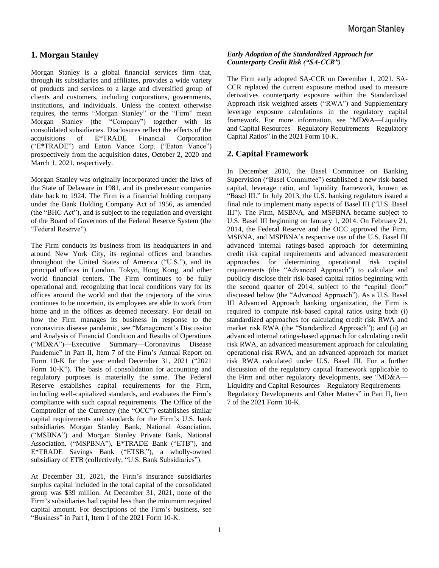## **1. Morgan Stanley**

Morgan Stanley is a global financial services firm that, through its subsidiaries and affiliates, provides a wide variety of products and services to a large and diversified group of clients and customers, including corporations, governments, institutions, and individuals. Unless the context otherwise requires, the terms "Morgan Stanley" or the "Firm" mean Morgan Stanley (the "Company") together with its consolidated subsidiaries. Disclosures reflect the effects of the acquisitions of E\*TRADE Financial Corporation ("E\*TRADE") and Eaton Vance Corp. ("Eaton Vance") prospectively from the acquisition dates, October 2, 2020 and March 1, 2021, respectively.

Morgan Stanley was originally incorporated under the laws of the State of Delaware in 1981, and its predecessor companies date back to 1924. The Firm is a financial holding company under the Bank Holding Company Act of 1956, as amended (the "BHC Act"), and is subject to the regulation and oversight of the Board of Governors of the Federal Reserve System (the "Federal Reserve").

The Firm conducts its business from its headquarters in and around New York City, its regional offices and branches throughout the United States of America ("U.S."), and its principal offices in London, Tokyo, Hong Kong, and other world financial centers. The Firm continues to be fully operational and, recognizing that local conditions vary for its offices around the world and that the trajectory of the virus continues to be uncertain, its employees are able to work from home and in the offices as deemed necessary. For detail on how the Firm manages its business in response to the coronavirus disease pandemic, see "Management's Discussion and Analysis of Financial Condition and Results of Operations ("MD&A")—Executive Summary—Coronavirus Disease Pandemic" in Part II, Item 7 of the Firm's Annual Report on Form 10-K for the year ended December 31, 2021 ("2021 Form 10-K"). The basis of consolidation for accounting and regulatory purposes is materially the same. The Federal Reserve establishes capital requirements for the Firm, including well-capitalized standards, and evaluates the Firm's compliance with such capital requirements. The Office of the Comptroller of the Currency (the "OCC") establishes similar capital requirements and standards for the Firm's U.S. bank subsidiaries Morgan Stanley Bank, National Association. ("MSBNA") and Morgan Stanley Private Bank, National Association. ("MSPBNA"), E\*TRADE Bank ("ETB"), and E\*TRADE Savings Bank ("ETSB,"), a wholly-owned subsidiary of ETB (collectively, "U.S. Bank Subsidiaries").

At December 31, 2021, the Firm's insurance subsidiaries surplus capital included in the total capital of the consolidated group was \$39 million. At December 31, 2021, none of the Firm's subsidiaries had capital less than the minimum required capital amount. For descriptions of the Firm's business, see "Business" in Part I, Item 1 of the 2021 Form 10-K.

#### *Early Adoption of the Standardized Approach for Counterparty Credit Risk ("SA-CCR")*

The Firm early adopted SA-CCR on December 1, 2021. SA-CCR replaced the current exposure method used to measure derivatives counterparty exposure within the Standardized Approach risk weighted assets ("RWA") and Supplementary leverage exposure calculations in the regulatory capital framework. For more information, see "MD&A—Liquidity and Capital Resources—Regulatory Requirements—Regulatory Capital Ratios" in the 2021 Form 10-K.

## **2. Capital Framework**

In December 2010, the Basel Committee on Banking Supervision ("Basel Committee") established a new risk-based capital, leverage ratio, and liquidity framework, known as "Basel III." In July 2013, the U.S. banking regulators issued a final rule to implement many aspects of Basel III ("U.S. Basel III"). The Firm, MSBNA, and MSPBNA became subject to U.S. Basel III beginning on January 1, 2014. On February 21, 2014, the Federal Reserve and the OCC approved the Firm, MSBNA, and MSPBNA's respective use of the U.S. Basel III advanced internal ratings-based approach for determining credit risk capital requirements and advanced measurement approaches for determining operational risk capital requirements (the "Advanced Approach") to calculate and publicly disclose their risk-based capital ratios beginning with the second quarter of 2014, subject to the "capital floor" discussed below (the "Advanced Approach"). As a U.S. Basel III Advanced Approach banking organization, the Firm is required to compute risk-based capital ratios using both (i) standardized approaches for calculating credit risk RWA and market risk RWA (the "Standardized Approach"); and (ii) an advanced internal ratings-based approach for calculating credit risk RWA, an advanced measurement approach for calculating operational risk RWA, and an advanced approach for market risk RWA calculated under U.S. Basel III. For a further discussion of the regulatory capital framework applicable to the Firm and other regulatory developments, see "MD&A— Liquidity and Capital Resources—Regulatory Requirements— Regulatory Developments and Other Matters" in Part II, Item 7 of the 2021 Form 10-K.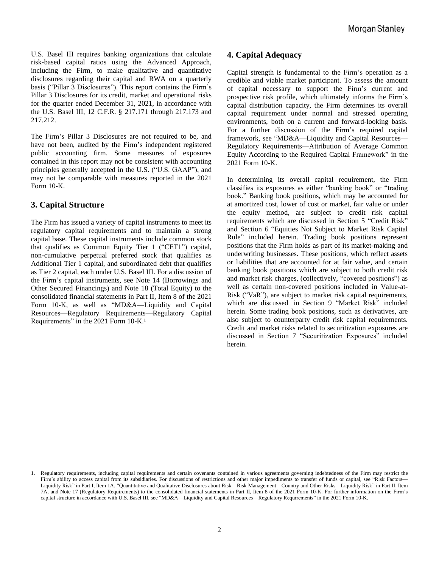U.S. Basel III requires banking organizations that calculate risk-based capital ratios using the Advanced Approach, including the Firm, to make qualitative and quantitative disclosures regarding their capital and RWA on a quarterly basis ("Pillar 3 Disclosures"). This report contains the Firm's Pillar 3 Disclosures for its credit, market and operational risks for the quarter ended December 31, 2021, in accordance with the U.S. Basel III, 12 C.F.R. § 217.171 through 217.173 and 217.212.

The Firm's Pillar 3 Disclosures are not required to be, and have not been, audited by the Firm's independent registered public accounting firm. Some measures of exposures contained in this report may not be consistent with accounting principles generally accepted in the U.S. ("U.S. GAAP"), and may not be comparable with measures reported in the 2021 Form 10-K.

## **3. Capital Structure**

The Firm has issued a variety of capital instruments to meet its regulatory capital requirements and to maintain a strong capital base. These capital instruments include common stock that qualifies as Common Equity Tier 1 ("CET1") capital, non-cumulative perpetual preferred stock that qualifies as Additional Tier 1 capital, and subordinated debt that qualifies as Tier 2 capital, each under U.S. Basel III. For a discussion of the Firm's capital instruments, see Note 14 (Borrowings and Other Secured Financings) and Note 18 (Total Equity) to the consolidated financial statements in Part II, Item 8 of the 2021 Form 10-K, as well as "MD&A—Liquidity and Capital Resources—Regulatory Requirements—Regulatory Capital Requirements" in the 2021 Form 10-K.<sup>1</sup>

## **4. Capital Adequacy**

Capital strength is fundamental to the Firm's operation as a credible and viable market participant. To assess the amount of capital necessary to support the Firm's current and prospective risk profile, which ultimately informs the Firm's capital distribution capacity, the Firm determines its overall capital requirement under normal and stressed operating environments, both on a current and forward-looking basis. For a further discussion of the Firm's required capital framework, see "MD&A—Liquidity and Capital Resources— Regulatory Requirements—Attribution of Average Common Equity According to the Required Capital Framework" in the 2021 Form 10-K.

In determining its overall capital requirement, the Firm classifies its exposures as either "banking book" or "trading book." Banking book positions, which may be accounted for at amortized cost, lower of cost or market, fair value or under the equity method, are subject to credit risk capital requirements which are discussed in Section 5 "Credit Risk" and Section 6 "Equities Not Subject to Market Risk Capital Rule" included herein. Trading book positions represent positions that the Firm holds as part of its market-making and underwriting businesses. These positions, which reflect assets or liabilities that are accounted for at fair value, and certain banking book positions which are subject to both credit risk and market risk charges, (collectively, "covered positions") as well as certain non-covered positions included in Value-at-Risk ("VaR"), are subject to market risk capital requirements, which are discussed in Section 9 "Market Risk" included herein. Some trading book positions, such as derivatives, are also subject to counterparty credit risk capital requirements. Credit and market risks related to securitization exposures are discussed in Section 7 "Securitization Exposures" included herein.

<sup>1.</sup> Regulatory requirements, including capital requirements and certain covenants contained in various agreements governing indebtedness of the Firm may restrict the Firm's ability to access capital from its subsidiaries. For discussions of restrictions and other major impediments to transfer of funds or capital, see "Risk Factors-Liquidity Risk" in Part I, Item 1A, "Quantitative and Qualitative Disclosures about Risk—Risk Management—Country and Other Risks—Liquidity Risk" in Part II, Item 7A, and Note 17 (Regulatory Requirements) to the consolidated financial statements in Part II, Item 8 of the 2021 Form 10-K. For further information on the Firm's capital structure in accordance with U.S. Basel III, see "MD&A—Liquidity and Capital Resources—Regulatory Requirements" in the 2021 Form 10-K.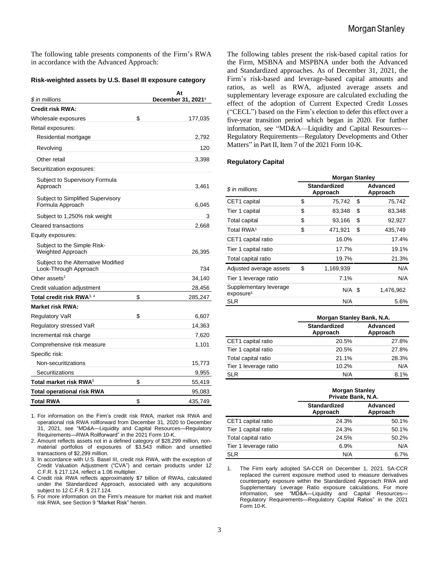The following table presents components of the Firm's RWA in accordance with the Advanced Approach:

#### **Risk-weighted assets by U.S. Basel III exposure category**

| \$ in millions                                               | At<br>December 31, 2021 <sup>1</sup> |
|--------------------------------------------------------------|--------------------------------------|
| <b>Credit risk RWA:</b>                                      |                                      |
| Wholesale exposures                                          | \$<br>177,035                        |
| Retail exposures:                                            |                                      |
| Residential mortgage                                         | 2,792                                |
| Revolving                                                    | 120                                  |
| Other retail                                                 | 3,398                                |
| Securitization exposures:                                    |                                      |
| Subject to Supervisory Formula<br>Approach                   | 3,461                                |
| Subject to Simplified Supervisory<br>Formula Approach        | 6,045                                |
| Subject to 1,250% risk weight                                | 3                                    |
| Cleared transactions                                         | 2,668                                |
| Equity exposures:                                            |                                      |
| Subject to the Simple Risk-<br><b>Weighted Approach</b>      | 26,395                               |
| Subject to the Alternative Modified<br>Look-Through Approach | 734                                  |
| Other assets <sup>2</sup>                                    | 34,140                               |
| Credit valuation adjustment                                  | 28,456                               |
| Total credit risk RWA <sup>3, 4</sup>                        | \$<br>285,247                        |
| <b>Market risk RWA:</b>                                      |                                      |
| <b>Regulatory VaR</b>                                        | \$<br>6,607                          |
| Regulatory stressed VaR                                      | 14,363                               |
| Incremental risk charge                                      | 7,620                                |
| Comprehensive risk measure                                   | 1,101                                |
| Specific risk:                                               |                                      |
| Non-securitizations                                          | 15,773                               |
| Securitizations                                              | 9,955                                |
| Total market risk RWA $^5$                                   | \$<br>55,419                         |
| <b>Total operational risk RWA</b>                            | 95,083                               |
| <b>Total RWA</b>                                             | \$<br>435,749                        |

1. For information on the Firm's credit risk RWA, market risk RWA and operational risk RWA rollforward from December 31, 2020 to December 31, 2021, see "MD&A—Liquidity and Capital Resources—Regulatory Requirements—RWA Rollforward" in the 2021 Form 10-K.

2. Amount reflects assets not in a defined category of \$28,299 million, nonmaterial portfolios of exposures of \$3,543 million and unsettled transactions of \$2,299 million.

3. In accordance with U.S. Basel III, credit risk RWA, with the exception of Credit Valuation Adjustment ("CVA") and certain products under 12 C.F.R. § 217.124, reflect a 1.06 multiplier.

4. Credit risk RWA reflects approximately \$7 billion of RWAs, calculated under the Standardized Approach, associated with any acquisitions subject to 12 C.F.R. § 217.124.

5. For more information on the Firm's measure for market risk and market risk RWA, see Section 9 "Market Risk" herein.

The following tables present the risk-based capital ratios for the Firm, MSBNA and MSPBNA under both the Advanced and Standardized approaches. As of December 31, 2021, the Firm's risk-based and leverage-based capital amounts and ratios, as well as RWA, adjusted average assets and supplementary leverage exposure are calculated excluding the effect of the adoption of Current Expected Credit Losses ("CECL") based on the Firm's election to defer this effect over a five-year transition period which began in 2020. For further information, see "MD&A—Liquidity and Capital Resources— Regulatory Requirements—Regulatory Developments and Other Matters" in Part II, Item 7 of the 2021 Form 10-K.

#### **Regulatory Capital**

|                                                 | <b>Morgan Stanley</b> |                                 |    |                      |  |  |  |  |  |
|-------------------------------------------------|-----------------------|---------------------------------|----|----------------------|--|--|--|--|--|
| \$ in millions                                  |                       | <b>Standardized</b><br>Approach |    | Advanced<br>Approach |  |  |  |  |  |
| CET1 capital                                    | \$                    | 75,742                          | \$ | 75,742               |  |  |  |  |  |
| Tier 1 capital                                  | \$                    | 83,348                          | \$ | 83,348               |  |  |  |  |  |
| Total capital                                   | \$                    | 93,166                          | \$ | 92,927               |  |  |  |  |  |
| Total RWA <sup>1</sup>                          | \$                    | 471,921                         | \$ | 435,749              |  |  |  |  |  |
| CET1 capital ratio                              |                       | 16.0%                           |    | 17.4%                |  |  |  |  |  |
| Tier 1 capital ratio                            |                       | 17.7%                           |    | 19.1%                |  |  |  |  |  |
| Total capital ratio                             |                       | 19.7%                           |    | 21.3%                |  |  |  |  |  |
| Adjusted average assets                         | \$                    | 1,169,939                       |    | N/A                  |  |  |  |  |  |
| Tier 1 leverage ratio                           |                       | 7.1%                            |    | N/A                  |  |  |  |  |  |
| Supplementary leverage<br>exposure <sup>1</sup> |                       | $N/A$ \$                        |    | 1,476,962            |  |  |  |  |  |
| <b>SLR</b>                                      |                       | N/A                             |    | 5.6%                 |  |  |  |  |  |

|                       | Morgan Stanley Bank, N.A.       |                             |  |  |  |  |  |
|-----------------------|---------------------------------|-----------------------------|--|--|--|--|--|
|                       | <b>Standardized</b><br>Approach | <b>Advanced</b><br>Approach |  |  |  |  |  |
| CET1 capital ratio    | 20.5%                           | 27.8%                       |  |  |  |  |  |
| Tier 1 capital ratio  | 20.5%                           | 27.8%                       |  |  |  |  |  |
| Total capital ratio   | 21.1%                           | 28.3%                       |  |  |  |  |  |
| Tier 1 leverage ratio | 10.2%                           | N/A                         |  |  |  |  |  |
| <b>SLR</b>            | N/A                             | 8.1%                        |  |  |  |  |  |

|                       | <b>Morgan Stanley</b><br>Private Bank, N.A. |                      |  |  |  |  |
|-----------------------|---------------------------------------------|----------------------|--|--|--|--|
|                       | <b>Standardized</b><br>Approach             | Advanced<br>Approach |  |  |  |  |
| CET1 capital ratio    | 24.3%                                       | 50.1%                |  |  |  |  |
| Tier 1 capital ratio  | 24.3%                                       | 50.1%                |  |  |  |  |
| Total capital ratio   | 24.5%                                       | 50.2%                |  |  |  |  |
| Tier 1 leverage ratio | 6.9%                                        | N/A                  |  |  |  |  |
| <b>SLR</b>            | N/A                                         | 6.7%                 |  |  |  |  |

1. The Firm early adopted SA-CCR on December 1, 2021. SA-CCR replaced the current exposure method used to measure derivatives counterparty exposure within the Standardized Approach RWA and Supplementary Leverage Ratio exposure calculations. For more information, see "MD&A—Liquidity and Capital Resources— Regulatory Requirements—Regulatory Capital Ratios" in the 2021 Form 10-K.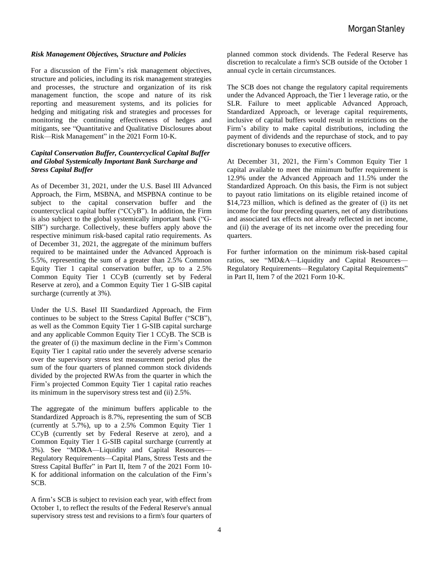#### *Risk Management Objectives, Structure and Policies*

For a discussion of the Firm's risk management objectives, structure and policies, including its risk management strategies and processes, the structure and organization of its risk management function, the scope and nature of its risk reporting and measurement systems, and its policies for hedging and mitigating risk and strategies and processes for monitoring the continuing effectiveness of hedges and mitigants, see "Quantitative and Qualitative Disclosures about Risk—Risk Management" in the 2021 Form 10-K.

#### *Capital Conservation Buffer, Countercyclical Capital Buffer and Global Systemically Important Bank Surcharge and Stress Capital Buffer*

As of December 31, 2021, under the U.S. Basel III Advanced Approach, the Firm, MSBNA, and MSPBNA continue to be subject to the capital conservation buffer and the countercyclical capital buffer ("CCyB"). In addition, the Firm is also subject to the global systemically important bank ("G-SIB") surcharge. Collectively, these buffers apply above the respective minimum risk-based capital ratio requirements. As of December 31, 2021, the aggregate of the minimum buffers required to be maintained under the Advanced Approach is 5.5%, representing the sum of a greater than 2.5% Common Equity Tier 1 capital conservation buffer, up to a 2.5% Common Equity Tier 1 CCyB (currently set by Federal Reserve at zero), and a Common Equity Tier 1 G-SIB capital surcharge (currently at 3%).

Under the U.S. Basel III Standardized Approach, the Firm continues to be subject to the Stress Capital Buffer ("SCB"), as well as the Common Equity Tier 1 G-SIB capital surcharge and any applicable Common Equity Tier 1 CCyB. The SCB is the greater of (i) the maximum decline in the Firm's Common Equity Tier 1 capital ratio under the severely adverse scenario over the supervisory stress test measurement period plus the sum of the four quarters of planned common stock dividends divided by the projected RWAs from the quarter in which the Firm's projected Common Equity Tier 1 capital ratio reaches its minimum in the supervisory stress test and (ii) 2.5%.

The aggregate of the minimum buffers applicable to the Standardized Approach is 8.7%, representing the sum of SCB (currently at 5.7%), up to a 2.5% Common Equity Tier 1 CCyB (currently set by Federal Reserve at zero), and a Common Equity Tier 1 G-SIB capital surcharge (currently at 3%). See "MD&A—Liquidity and Capital Resources— Regulatory Requirements—Capital Plans, Stress Tests and the Stress Capital Buffer" in Part II, Item 7 of the 2021 Form 10- K for additional information on the calculation of the Firm's SCB.

A firm's SCB is subject to revision each year, with effect from October 1, to reflect the results of the Federal Reserve's annual supervisory stress test and revisions to a firm's four quarters of

planned common stock dividends. The Federal Reserve has discretion to recalculate a firm's SCB outside of the October 1 annual cycle in certain circumstances.

The SCB does not change the regulatory capital requirements under the Advanced Approach, the Tier 1 leverage ratio, or the SLR. Failure to meet applicable Advanced Approach, Standardized Approach, or leverage capital requirements, inclusive of capital buffers would result in restrictions on the Firm's ability to make capital distributions, including the payment of dividends and the repurchase of stock, and to pay discretionary bonuses to executive officers.

At December 31, 2021, the Firm's Common Equity Tier 1 capital available to meet the minimum buffer requirement is 12.9% under the Advanced Approach and 11.5% under the Standardized Approach. On this basis, the Firm is not subject to payout ratio limitations on its eligible retained income of \$14,723 million, which is defined as the greater of (i) its net income for the four preceding quarters, net of any distributions and associated tax effects not already reflected in net income, and (ii) the average of its net income over the preceding four quarters.

For further information on the minimum risk-based capital ratios, see "MD&A—Liquidity and Capital Resources— Regulatory Requirements—Regulatory Capital Requirements" in Part II, Item 7 of the 2021 Form 10-K.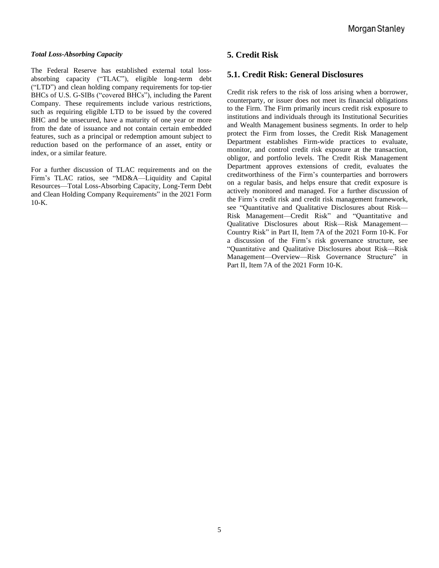#### *Total Loss-Absorbing Capacity*

The Federal Reserve has established external total lossabsorbing capacity ("TLAC"), eligible long-term debt ("LTD") and clean holding company requirements for top-tier BHCs of U.S. G-SIBs ("covered BHCs"), including the Parent Company. These requirements include various restrictions, such as requiring eligible LTD to be issued by the covered BHC and be unsecured, have a maturity of one year or more from the date of issuance and not contain certain embedded features, such as a principal or redemption amount subject to reduction based on the performance of an asset, entity or index, or a similar feature.

For a further discussion of TLAC requirements and on the Firm's TLAC ratios, see "MD&A—Liquidity and Capital Resources—Total Loss-Absorbing Capacity, Long-Term Debt and Clean Holding Company Requirements" in the 2021 Form 10-K.

## **5. Credit Risk**

## **5.1. Credit Risk: General Disclosures**

Credit risk refers to the risk of loss arising when a borrower, counterparty, or issuer does not meet its financial obligations to the Firm. The Firm primarily incurs credit risk exposure to institutions and individuals through its Institutional Securities and Wealth Management business segments. In order to help protect the Firm from losses, the Credit Risk Management Department establishes Firm-wide practices to evaluate, monitor, and control credit risk exposure at the transaction, obligor, and portfolio levels. The Credit Risk Management Department approves extensions of credit, evaluates the creditworthiness of the Firm's counterparties and borrowers on a regular basis, and helps ensure that credit exposure is actively monitored and managed. For a further discussion of the Firm's credit risk and credit risk management framework, see "Quantitative and Qualitative Disclosures about Risk— Risk Management—Credit Risk" and "Quantitative and Qualitative Disclosures about Risk—Risk Management— Country Risk" in Part II, Item 7A of the 2021 Form 10-K. For a discussion of the Firm's risk governance structure, see "Quantitative and Qualitative Disclosures about Risk—Risk Management—Overview—Risk Governance Structure" in Part II, Item 7A of the 2021 Form 10-K.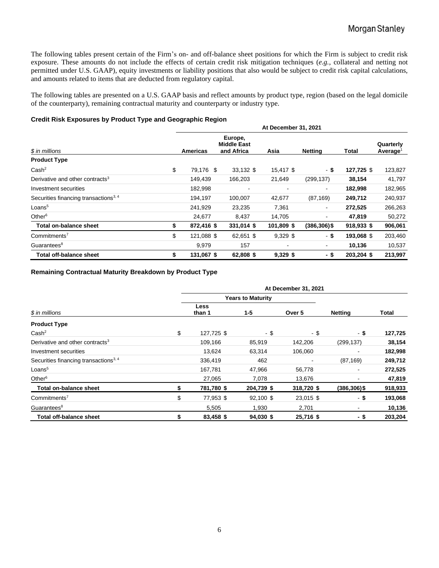The following tables present certain of the Firm's on- and off-balance sheet positions for which the Firm is subject to credit risk exposure. These amounts do not include the effects of certain credit risk mitigation techniques (*e.g.*, collateral and netting not permitted under U.S. GAAP), equity investments or liability positions that also would be subject to credit risk capital calculations, and amounts related to items that are deducted from regulatory capital.

The following tables are presented on a U.S. GAAP basis and reflect amounts by product type, region (based on the legal domicile of the counterparty), remaining contractual maturity and counterparty or industry type.

#### **Credit Risk Exposures by Product Type and Geographic Region**

|                                                   |    |            |                                             | At December 31, 2021 |                 |            |                                   |  |
|---------------------------------------------------|----|------------|---------------------------------------------|----------------------|-----------------|------------|-----------------------------------|--|
| \$ in millions                                    |    |            | Europe,<br><b>Middle East</b><br>and Africa | Asia                 | Netting         | Total      | Quarterly<br>Average <sup>1</sup> |  |
| <b>Product Type</b>                               |    |            |                                             |                      |                 |            |                                   |  |
| Cash <sup>2</sup>                                 | \$ | 79,176 \$  | 33,132 \$                                   | 15,417 \$            | - \$            | 127,725 \$ | 123,827                           |  |
| Derivative and other contracts <sup>3</sup>       |    | 149,439    | 166,203                                     | 21,649               | (299, 137)      | 38,154     | 41,797                            |  |
| Investment securities                             |    | 182,998    |                                             |                      | $\blacksquare$  | 182,998    | 182,965                           |  |
| Securities financing transactions <sup>3, 4</sup> |    | 194,197    | 100,007                                     | 42,677               | (87, 169)       | 249,712    | 240,937                           |  |
| Loans <sup>5</sup>                                |    | 241,929    | 23,235                                      | 7,361                | $\blacksquare$  | 272,525    | 266,263                           |  |
| Other $6$                                         |    | 24,677     | 8,437                                       | 14,705               | $\blacksquare$  | 47,819     | 50,272                            |  |
| Total on-balance sheet                            | \$ | 872,416 \$ | 331,014 \$                                  | 101,809 \$           | $(386, 306)$ \$ | 918,933 \$ | 906,061                           |  |
| Commitments <sup>7</sup>                          | \$ | 121,088 \$ | 62,651 \$                                   | $9,329$ \$           | -\$             | 193,068 \$ | 203,460                           |  |
| Guarantees <sup>8</sup>                           |    | 9,979      | 157                                         |                      | $\blacksquare$  | 10,136     | 10,537                            |  |
| Total off-balance sheet                           | \$ | 131,067 \$ | 62,808 \$                                   | $9,329$ \$           | - \$            | 203,204 \$ | 213,997                           |  |

#### **Remaining Contractual Maturity Breakdown by Product Type**

|                                                   | At December 31, 2021 |                           |            |            |                 |         |  |  |  |  |  |  |
|---------------------------------------------------|----------------------|---------------------------|------------|------------|-----------------|---------|--|--|--|--|--|--|
|                                                   |                      | <b>Years to Maturity</b>  |            |            |                 |         |  |  |  |  |  |  |
| \$ in millions                                    |                      | Less<br>$1 - 5$<br>than 1 |            | Over 5     | Netting         | Total   |  |  |  |  |  |  |
| <b>Product Type</b>                               |                      |                           |            |            |                 |         |  |  |  |  |  |  |
| Cash <sup>2</sup>                                 | \$                   | 127,725 \$                | - \$       | - \$       | - \$            | 127,725 |  |  |  |  |  |  |
| Derivative and other contracts <sup>3</sup>       |                      | 109,166                   | 85,919     | 142,206    | (299, 137)      | 38,154  |  |  |  |  |  |  |
| Investment securities                             |                      | 13,624                    | 63,314     | 106,060    |                 | 182,998 |  |  |  |  |  |  |
| Securities financing transactions <sup>3, 4</sup> |                      | 336,419                   | 462        |            | (87, 169)       | 249,712 |  |  |  |  |  |  |
| Loans <sup>5</sup>                                |                      | 167,781                   | 47,966     | 56,778     |                 | 272,525 |  |  |  |  |  |  |
| Other $6$                                         |                      | 27.065                    | 7.078      | 13.676     |                 | 47,819  |  |  |  |  |  |  |
| Total on-balance sheet                            |                      | 781,780 \$                | 204,739 \$ | 318,720 \$ | $(386, 306)$ \$ | 918,933 |  |  |  |  |  |  |
| Commitments <sup>7</sup>                          | \$                   | 77,953 \$                 | 92,100 \$  | 23,015 \$  | - \$            | 193,068 |  |  |  |  |  |  |
| Guarantees <sup>8</sup>                           |                      | 5,505                     | 1,930      | 2,701      |                 | 10,136  |  |  |  |  |  |  |
| Total off-balance sheet                           | \$                   | 83,458 \$                 | 94,030 \$  | 25,716 \$  | - \$            | 203,204 |  |  |  |  |  |  |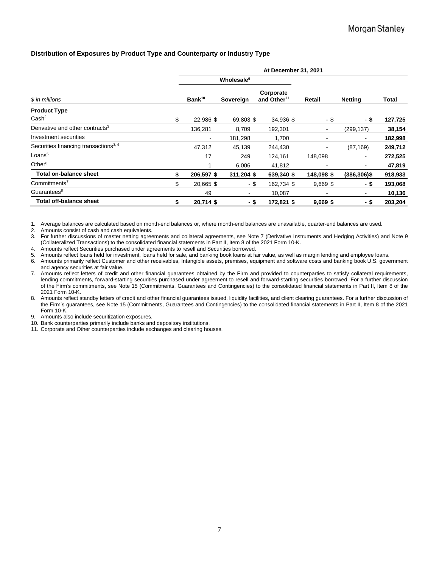#### **Distribution of Exposures by Product Type and Counterparty or Industry Type**

|                                                   | At December 31, 2021 |                                        |                        |                                      |                          |                          |         |  |  |  |  |  |
|---------------------------------------------------|----------------------|----------------------------------------|------------------------|--------------------------------------|--------------------------|--------------------------|---------|--|--|--|--|--|
|                                                   |                      |                                        | Wholesale <sup>9</sup> |                                      |                          |                          |         |  |  |  |  |  |
| \$ in millions                                    |                      | Bank <sup>10</sup><br><b>Sovereign</b> |                        | Corporate<br>and Other <sup>11</sup> | Retail                   | <b>Netting</b>           | Total   |  |  |  |  |  |
| <b>Product Type</b>                               |                      |                                        |                        |                                      |                          |                          |         |  |  |  |  |  |
| Cash <sup>2</sup>                                 | \$                   | 22.986 \$                              | 69,803 \$              | 34,936 \$                            | - \$                     | - \$                     | 127,725 |  |  |  |  |  |
| Derivative and other contracts <sup>3</sup>       |                      | 136,281                                | 8,709                  | 192,301                              | $\overline{\phantom{a}}$ | (299, 137)               | 38,154  |  |  |  |  |  |
| Investment securities                             |                      | $\qquad \qquad \blacksquare$           | 181,298                | 1,700                                | $\blacksquare$           | $\overline{\phantom{a}}$ | 182,998 |  |  |  |  |  |
| Securities financing transactions <sup>3, 4</sup> |                      | 47.312                                 | 45,139                 | 244,430                              | $\blacksquare$           | (87, 169)                | 249,712 |  |  |  |  |  |
| Loans <sup>5</sup>                                |                      | 17                                     | 249                    | 124,161                              | 148,098                  | ۰                        | 272,525 |  |  |  |  |  |
| Other $6$                                         |                      |                                        | 6,006                  | 41,812                               |                          | $\blacksquare$           | 47,819  |  |  |  |  |  |
| Total on-balance sheet                            | \$                   | 206,597 \$                             | 311,204 \$             | 639,340 \$                           | 148,098 \$               | $(386, 306)$ \$          | 918,933 |  |  |  |  |  |
| Commitments <sup>7</sup>                          | \$                   | 20,665 \$                              | $-$ \$                 | 162,734 \$                           | $9,669$ \$               | - \$                     | 193,068 |  |  |  |  |  |
| Guarantees <sup>8</sup>                           |                      | 49                                     | ۰                      | 10,087                               |                          | ٠                        | 10,136  |  |  |  |  |  |
| <b>Total off-balance sheet</b>                    | \$                   | 20,714 \$                              | - \$                   | 172,821 \$                           | $9,669$ \$               | - \$                     | 203,204 |  |  |  |  |  |

1. Average balances are calculated based on month-end balances or, where month-end balances are unavailable, quarter-end balances are used.

2. Amounts consist of cash and cash equivalents.

3. For further discussions of master netting agreements and collateral agreements, see Note 7 (Derivative Instruments and Hedging Activities) and Note 9 (Collateralized Transactions) to the consolidated financial statements in Part II, Item 8 of the 2021 Form 10-K.

4. Amounts reflect Securities purchased under agreements to resell and Securities borrowed.

5. Amounts reflect loans held for investment, loans held for sale, and banking book loans at fair value, as well as margin lending and employee loans.

6. Amounts primarily reflect Customer and other receivables, Intangible assets, premises, equipment and software costs and banking book U.S. government and agency securities at fair value.

7. Amounts reflect letters of credit and other financial guarantees obtained by the Firm and provided to counterparties to satisfy collateral requirements, lending commitments, forward-starting securities purchased under agreement to resell and forward-starting securities borrowed. For a further discussion of the Firm's commitments, see Note 15 (Commitments, Guarantees and Contingencies) to the consolidated financial statements in Part II, Item 8 of the 2021 Form 10-K.

8. Amounts reflect standby letters of credit and other financial guarantees issued, liquidity facilities, and client clearing guarantees. For a further discussion of the Firm's guarantees, see Note 15 (Commitments, Guarantees and Contingencies) to the consolidated financial statements in Part II, Item 8 of the 2021 Form 10-K.

9. Amounts also include securitization exposures.

10. Bank counterparties primarily include banks and depository institutions.

11. Corporate and Other counterparties include exchanges and clearing houses.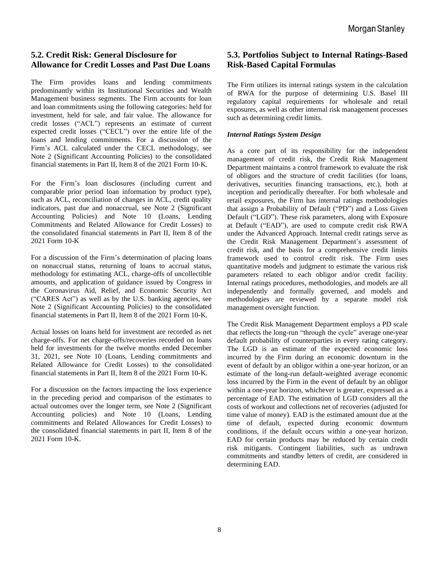## **5.2. Credit Risk: General Disclosure for Allowance for Credit Losses and Past Due Loans**

The Firm provides loans and lending commitments predominantly within its Institutional Securities and Wealth Management business segments. The Firm accounts for loan and loan commitments using the following categories: held for investment, held for sale, and fair value. The allowance for credit losses ("ACL") represents an estimate of current expected credit losses ("CECL") over the entire life of the loans and lending commitments. For a discussion of the Firm's ACL calculated under the CECL methodology, see Note 2 (Significant Accounting Policies) to the consolidated financial statements in Part II, Item 8 of the 2021 Form 10-K.

For the Firm's loan disclosures (including current and comparable prior period loan information by product type), such as ACL, reconciliation of changes in ACL, credit quality indicators, past due and nonaccrual, see Note 2 (Significant Accounting Policies) and Note 10 (Loans, Lending Commitments and Related Allowance for Credit Losses) to the consolidated financial statements in Part II, Item 8 of the 2021 Form 10-K

For a discussion of the Firm's determination of placing loans on nonaccrual status, returning of loans to accrual status, methodology for estimating ACL, charge-offs of uncollectible amounts, and application of guidance issued by Congress in the Coronavirus Aid, Relief, and Economic Security Act ("CARES Act") as well as by the U.S. banking agencies, see Note 2 (Significant Accounting Policies) to the consolidated financial statements in Part II, Item 8 of the 2021 Form 10-K.

Actual losses on loans held for investment are recorded as net charge-offs. For net charge-offs/recoveries recorded on loans held for investments for the twelve months ended December 31, 2021, see Note 10 (Loans, Lending commitments and Related Allowance for Credit Losses) to the consolidated financial statements in Part II, Item 8 of the 2021 Form 10-K.

For a discussion on the factors impacting the loss experience in the preceding period and comparison of the estimates to actual outcomes over the longer term, see Note 2 (Significant Accounting policies) and Note 10 (Loans, Lending commitments and Related Allowances for Credit Losses) to the consolidated financial statements in part II, Item 8 of the 2021 Form 10-K.

## **5.3. Portfolios Subject to Internal Ratings-Based Risk-Based Capital Formulas**

The Firm utilizes its internal ratings system in the calculation of RWA for the purpose of determining U.S. Basel III regulatory capital requirements for wholesale and retail exposures, as well as other internal risk management processes such as determining credit limits.

#### *Internal Ratings System Design*

As a core part of its responsibility for the independent management of credit risk, the Credit Risk Management Department maintains a control framework to evaluate the risk of obligors and the structure of credit facilities (for loans, derivatives, securities financing transactions, etc.), both at inception and periodically thereafter. For both wholesale and retail exposures, the Firm has internal ratings methodologies that assign a Probability of Default ("PD") and a Loss Given Default ("LGD"). These risk parameters, along with Exposure at Default ("EAD"), are used to compute credit risk RWA under the Advanced Approach. Internal credit ratings serve as the Credit Risk Management Department's assessment of credit risk, and the basis for a comprehensive credit limits framework used to control credit risk. The Firm uses quantitative models and judgment to estimate the various risk parameters related to each obligor and/or credit facility. Internal ratings procedures, methodologies, and models are all independently and formally governed, and models and methodologies are reviewed by a separate model risk management oversight function.

The Credit Risk Management Department employs a PD scale that reflects the long-run "through the cycle" average one-year default probability of counterparties in every rating category. The LGD is an estimate of the expected economic loss incurred by the Firm during an economic downturn in the event of default by an obligor within a one-year horizon, or an estimate of the long-run default-weighted average economic loss incurred by the Firm in the event of default by an obligor within a one-year horizon, whichever is greater, expressed as a percentage of EAD. The estimation of LGD considers all the costs of workout and collections net of recoveries (adjusted for time value of money). EAD is the estimated amount due at the time of default, expected during economic downturn conditions, if the default occurs within a one-year horizon. EAD for certain products may be reduced by certain credit risk mitigants. Contingent liabilities, such as undrawn commitments and standby letters of credit, are considered in determining EAD.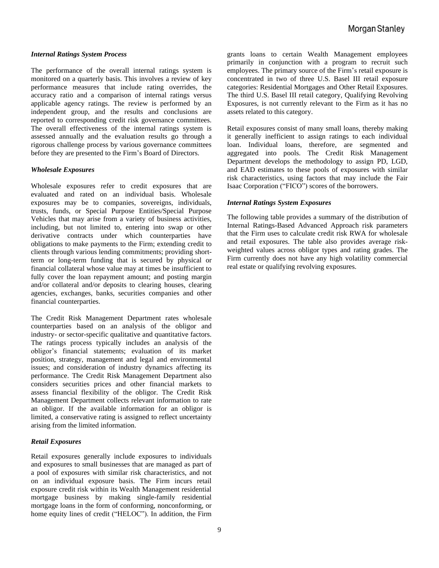#### *Internal Ratings System Process*

The performance of the overall internal ratings system is monitored on a quarterly basis. This involves a review of key performance measures that include rating overrides, the accuracy ratio and a comparison of internal ratings versus applicable agency ratings. The review is performed by an independent group, and the results and conclusions are reported to corresponding credit risk governance committees. The overall effectiveness of the internal ratings system is assessed annually and the evaluation results go through a rigorous challenge process by various governance committees before they are presented to the Firm's Board of Directors.

#### *Wholesale Exposures*

Wholesale exposures refer to credit exposures that are evaluated and rated on an individual basis. Wholesale exposures may be to companies, sovereigns, individuals, trusts, funds, or Special Purpose Entities/Special Purpose Vehicles that may arise from a variety of business activities, including, but not limited to, entering into swap or other derivative contracts under which counterparties have obligations to make payments to the Firm; extending credit to clients through various lending commitments; providing shortterm or long-term funding that is secured by physical or financial collateral whose value may at times be insufficient to fully cover the loan repayment amount; and posting margin and/or collateral and/or deposits to clearing houses, clearing agencies, exchanges, banks, securities companies and other financial counterparties.

The Credit Risk Management Department rates wholesale counterparties based on an analysis of the obligor and industry- or sector-specific qualitative and quantitative factors. The ratings process typically includes an analysis of the obligor's financial statements; evaluation of its market position, strategy, management and legal and environmental issues; and consideration of industry dynamics affecting its performance. The Credit Risk Management Department also considers securities prices and other financial markets to assess financial flexibility of the obligor. The Credit Risk Management Department collects relevant information to rate an obligor. If the available information for an obligor is limited, a conservative rating is assigned to reflect uncertainty arising from the limited information.

#### *Retail Exposures*

Retail exposures generally include exposures to individuals and exposures to small businesses that are managed as part of a pool of exposures with similar risk characteristics, and not on an individual exposure basis. The Firm incurs retail exposure credit risk within its Wealth Management residential mortgage business by making single-family residential mortgage loans in the form of conforming, nonconforming, or home equity lines of credit ("HELOC"). In addition, the Firm grants loans to certain Wealth Management employees primarily in conjunction with a program to recruit such employees. The primary source of the Firm's retail exposure is concentrated in two of three U.S. Basel III retail exposure categories: Residential Mortgages and Other Retail Exposures. The third U.S. Basel III retail category, Qualifying Revolving Exposures, is not currently relevant to the Firm as it has no assets related to this category.

Retail exposures consist of many small loans, thereby making it generally inefficient to assign ratings to each individual loan. Individual loans, therefore, are segmented and aggregated into pools. The Credit Risk Management Department develops the methodology to assign PD, LGD, and EAD estimates to these pools of exposures with similar risk characteristics, using factors that may include the Fair Isaac Corporation ("FICO") scores of the borrowers.

#### *Internal Ratings System Exposures*

The following table provides a summary of the distribution of Internal Ratings-Based Advanced Approach risk parameters that the Firm uses to calculate credit risk RWA for wholesale and retail exposures. The table also provides average riskweighted values across obligor types and rating grades. The Firm currently does not have any high volatility commercial real estate or qualifying revolving exposures.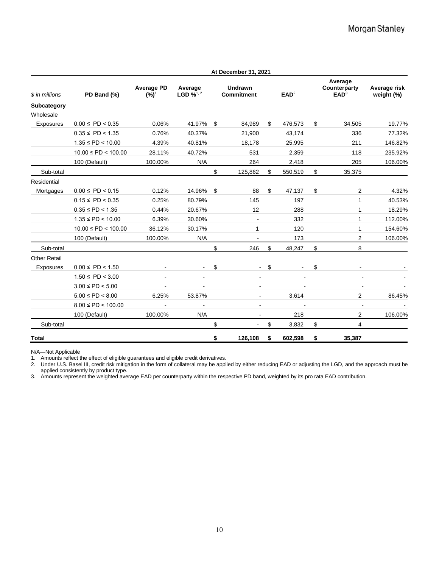|                          |                          |                              |                                              |    | At December 31, 2021                |    |                  |                                             |                            |
|--------------------------|--------------------------|------------------------------|----------------------------------------------|----|-------------------------------------|----|------------------|---------------------------------------------|----------------------------|
| \$ in millions           | PD Band (%)              | <b>Average PD</b><br>$(%)^1$ | Average<br>LGD $\frac{1}{2}$ <sup>1, 2</sup> |    | <b>Undrawn</b><br><b>Commitment</b> |    | EAD <sup>2</sup> | Average<br>Counterparty<br>EAD <sup>3</sup> | Average risk<br>weight (%) |
| Subcategory<br>Wholesale |                          |                              |                                              |    |                                     |    |                  |                                             |                            |
| Exposures                | $0.00 \leq P D < 0.35$   | 0.06%                        | 41.97%                                       | \$ | 84,989                              | \$ | 476,573          | \$<br>34,505                                | 19.77%                     |
|                          | $0.35 \leq P D < 1.35$   | 0.76%                        | 40.37%                                       |    | 21,900                              |    | 43,174           | 336                                         | 77.32%                     |
|                          | $1.35 \leq PD < 10.00$   | 4.39%                        | 40.81%                                       |    | 18,178                              |    | 25,995           | 211                                         | 146.82%                    |
|                          | $10.00 \leq PD < 100.00$ | 28.11%                       | 40.72%                                       |    | 531                                 |    | 2,359            | 118                                         | 235.92%                    |
|                          | 100 (Default)            | 100.00%                      | N/A                                          |    | 264                                 |    | 2,418            | 205                                         | 106.00%                    |
| Sub-total                |                          |                              |                                              | \$ | 125,862                             | \$ | 550,519          | \$<br>35,375                                |                            |
| Residential              |                          |                              |                                              |    |                                     |    |                  |                                             |                            |
| Mortgages                | $0.00 \leq P D < 0.15$   | 0.12%                        | 14.96%                                       | \$ | 88                                  | \$ | 47,137           | \$<br>2                                     | 4.32%                      |
|                          | $0.15 \leq P D < 0.35$   | 0.25%                        | 80.79%                                       |    | 145                                 |    | 197              | 1                                           | 40.53%                     |
|                          | $0.35 \leq P D < 1.35$   | 0.44%                        | 20.67%                                       |    | 12                                  |    | 288              | 1                                           | 18.29%                     |
|                          | $1.35 \leq PD < 10.00$   | 6.39%                        | 30.60%                                       |    | ä,                                  |    | 332              | 1                                           | 112.00%                    |
|                          | $10.00 \leq PD < 100.00$ | 36.12%                       | 30.17%                                       |    | 1                                   |    | 120              | 1                                           | 154.60%                    |
|                          | 100 (Default)            | 100.00%                      | N/A                                          |    |                                     |    | 173              | 2                                           | 106.00%                    |
| Sub-total                |                          |                              |                                              | \$ | 246                                 | \$ | 48,247           | \$<br>8                                     |                            |
| <b>Other Retail</b>      |                          |                              |                                              |    |                                     |    |                  |                                             |                            |
| Exposures                | $0.00 \leq P D < 1.50$   |                              | $\blacksquare$                               | \$ | $\blacksquare$                      | \$ |                  | \$                                          |                            |
|                          | $1.50 \leq PD < 3.00$    |                              |                                              |    |                                     |    |                  |                                             |                            |
|                          | $3.00 \leq P D < 5.00$   |                              | $\sim$                                       |    | $\overline{\phantom{a}}$            |    |                  |                                             |                            |
|                          | $5.00 \leq P D < 8.00$   | 6.25%                        | 53.87%                                       |    |                                     |    | 3,614            | $\overline{2}$                              | 86.45%                     |
|                          | $8.00 \leq PD < 100.00$  | $\blacksquare$               | $\blacksquare$                               |    | $\blacksquare$                      |    | $\blacksquare$   | $\blacksquare$                              |                            |
|                          | 100 (Default)            | 100.00%                      | N/A                                          |    |                                     |    | 218              | 2                                           | 106.00%                    |
| Sub-total                |                          |                              |                                              | \$ |                                     | \$ | 3,832            | \$<br>4                                     |                            |
| <b>Total</b>             |                          |                              |                                              | \$ | 126,108                             | \$ | 602,598          | \$<br>35,387                                |                            |

N/A—Not Applicable

1. Amounts reflect the effect of eligible guarantees and eligible credit derivatives.

2. Under U.S. Basel III, credit risk mitigation in the form of collateral may be applied by either reducing EAD or adjusting the LGD, and the approach must be applied consistently by product type.

3. Amounts represent the weighted average EAD per counterparty within the respective PD band, weighted by its pro rata EAD contribution.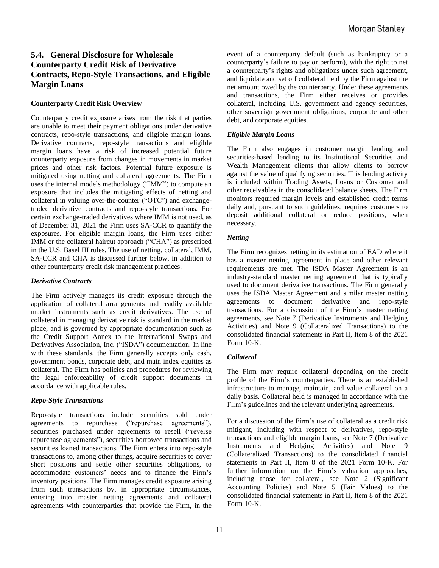## **5.4. General Disclosure for Wholesale Counterparty Credit Risk of Derivative Contracts, Repo-Style Transactions, and Eligible Margin Loans**

#### **Counterparty Credit Risk Overview**

Counterparty credit exposure arises from the risk that parties are unable to meet their payment obligations under derivative contracts, repo-style transactions, and eligible margin loans. Derivative contracts, repo-style transactions and eligible margin loans have a risk of increased potential future counterparty exposure from changes in movements in market prices and other risk factors. Potential future exposure is mitigated using netting and collateral agreements. The Firm uses the internal models methodology ("IMM") to compute an exposure that includes the mitigating effects of netting and collateral in valuing over-the-counter ("OTC") and exchangetraded derivative contracts and repo-style transactions. For certain exchange-traded derivatives where IMM is not used, as of December 31, 2021 the Firm uses SA-CCR to quantify the exposures. For eligible margin loans, the Firm uses either IMM or the collateral haircut approach ("CHA") as prescribed in the U.S. Basel III rules. The use of netting, collateral, IMM, SA-CCR and CHA is discussed further below, in addition to other counterparty credit risk management practices.

#### *Derivative Contracts*

The Firm actively manages its credit exposure through the application of collateral arrangements and readily available market instruments such as credit derivatives. The use of collateral in managing derivative risk is standard in the market place, and is governed by appropriate documentation such as the Credit Support Annex to the International Swaps and Derivatives Association, Inc. ("ISDA") documentation. In line with these standards, the Firm generally accepts only cash, government bonds, corporate debt, and main index equities as collateral. The Firm has policies and procedures for reviewing the legal enforceability of credit support documents in accordance with applicable rules.

#### *Repo-Style Transactions*

Repo-style transactions include securities sold under agreements to repurchase ("repurchase agreements"), securities purchased under agreements to resell ("reverse repurchase agreements"), securities borrowed transactions and securities loaned transactions. The Firm enters into repo-style transactions to, among other things, acquire securities to cover short positions and settle other securities obligations, to accommodate customers' needs and to finance the Firm's inventory positions. The Firm manages credit exposure arising from such transactions by, in appropriate circumstances, entering into master netting agreements and collateral agreements with counterparties that provide the Firm, in the event of a counterparty default (such as bankruptcy or a counterparty's failure to pay or perform), with the right to net a counterparty's rights and obligations under such agreement, and liquidate and set off collateral held by the Firm against the net amount owed by the counterparty. Under these agreements and transactions, the Firm either receives or provides collateral, including U.S. government and agency securities, other sovereign government obligations, corporate and other debt, and corporate equities.

#### *Eligible Margin Loans*

The Firm also engages in customer margin lending and securities-based lending to its Institutional Securities and Wealth Management clients that allow clients to borrow against the value of qualifying securities. This lending activity is included within Trading Assets, Loans or Customer and other receivables in the consolidated balance sheets. The Firm monitors required margin levels and established credit terms daily and, pursuant to such guidelines, requires customers to deposit additional collateral or reduce positions, when necessary.

#### *Netting*

The Firm recognizes netting in its estimation of EAD where it has a master netting agreement in place and other relevant requirements are met. The ISDA Master Agreement is an industry-standard master netting agreement that is typically used to document derivative transactions. The Firm generally uses the ISDA Master Agreement and similar master netting agreements to document derivative and repo-style transactions. For a discussion of the Firm's master netting agreements, see Note 7 (Derivative Instruments and Hedging Activities) and Note 9 (Collateralized Transactions) to the consolidated financial statements in Part II, Item 8 of the 2021 Form 10-K.

#### *Collateral*

The Firm may require collateral depending on the credit profile of the Firm's counterparties. There is an established infrastructure to manage, maintain, and value collateral on a daily basis. Collateral held is managed in accordance with the Firm's guidelines and the relevant underlying agreements.

For a discussion of the Firm's use of collateral as a credit risk mitigant, including with respect to derivatives, repo-style transactions and eligible margin loans, see Note 7 (Derivative Instruments and Hedging Activities) and Note 9 (Collateralized Transactions) to the consolidated financial statements in Part II, Item 8 of the 2021 Form 10-K. For further information on the Firm's valuation approaches, including those for collateral, see Note 2 (Significant Accounting Policies) and Note 5 (Fair Values) to the consolidated financial statements in Part II, Item 8 of the 2021 Form 10-K.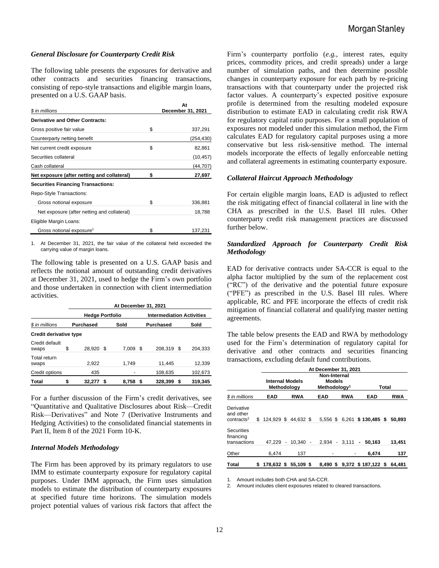#### *General Disclosure for Counterparty Credit Risk*

The following table presents the exposures for derivative and other contracts and securities financing transactions, consisting of repo-style transactions and eligible margin loans, presented on a U.S. GAAP basis.

| \$ in millions                              | At<br>December 31, 2021 |
|---------------------------------------------|-------------------------|
| Derivative and Other Contracts:             |                         |
| Gross positive fair value                   | \$<br>337,291           |
| Counterparty netting benefit                | (254,430)               |
| Net current credit exposure                 | \$<br>82,861            |
| Securities collateral                       | (10, 457)               |
| Cash collateral                             | (44,707)                |
| Net exposure (after netting and collateral) | \$<br>27,697            |
| <b>Securities Financing Transactions:</b>   |                         |
| Repo-Style Transactions:                    |                         |
| Gross notional exposure                     | \$<br>336,881           |
| Net exposure (after netting and collateral) | 18,788                  |
| Eligible Margin Loans:                      |                         |
| Gross notional exposure <sup>1</sup>        | \$<br>137,231           |

1. At December 31, 2021, the fair value of the collateral held exceeded the carrying value of margin loans.

The following table is presented on a U.S. GAAP basis and reflects the notional amount of outstanding credit derivatives at December 31, 2021, used to hedge the Firm's own portfolio and those undertaken in connection with client intermediation activities.

|                         |    |                        |     | At December 31, 2021 |      |                                  |    |         |  |  |  |  |  |  |
|-------------------------|----|------------------------|-----|----------------------|------|----------------------------------|----|---------|--|--|--|--|--|--|
|                         |    | <b>Hedge Portfolio</b> |     |                      |      | <b>Intermediation Activities</b> |    |         |  |  |  |  |  |  |
| \$ in millions          |    | <b>Purchased</b>       |     | Sold                 |      | <b>Purchased</b><br>Sold         |    |         |  |  |  |  |  |  |
| Credit derivative type  |    |                        |     |                      |      |                                  |    |         |  |  |  |  |  |  |
| Credit default<br>swaps | \$ | 28.920                 | \$. | 7.009                | - \$ | 208.319                          | -S | 204.333 |  |  |  |  |  |  |
| Total return<br>swaps   |    | 2,922                  |     | 1.749                |      | 11,445                           |    | 12,339  |  |  |  |  |  |  |
| Credit options          |    | 435                    |     |                      |      | 108,635                          |    | 102,673 |  |  |  |  |  |  |
| Total                   |    | 32,277                 | S   | 8.758                |      | 328,399                          | S  | 319,345 |  |  |  |  |  |  |

For a further discussion of the Firm's credit derivatives, see "Quantitative and Qualitative Disclosures about Risk—Credit Risk—Derivatives" and Note 7 (Derivative Instruments and Hedging Activities) to the consolidated financial statements in Part II, Item 8 of the 2021 Form 10-K.

#### *Internal Models Methodology*

The Firm has been approved by its primary regulators to use IMM to estimate counterparty exposure for regulatory capital purposes. Under IMM approach, the Firm uses simulation models to estimate the distribution of counterparty exposures at specified future time horizons. The simulation models project potential values of various risk factors that affect the

Firm's counterparty portfolio (*e.g.*, interest rates, equity prices, commodity prices, and credit spreads) under a large number of simulation paths, and then determine possible changes in counterparty exposure for each path by re-pricing transactions with that counterparty under the projected risk factor values. A counterparty's expected positive exposure profile is determined from the resulting modeled exposure distribution to estimate EAD in calculating credit risk RWA for regulatory capital ratio purposes. For a small population of exposures not modeled under this simulation method, the Firm calculates EAD for regulatory capital purposes using a more conservative but less risk-sensitive method. The internal models incorporate the effects of legally enforceable netting and collateral agreements in estimating counterparty exposure.

#### *Collateral Haircut Approach Methodology*

For certain eligible margin loans, EAD is adjusted to reflect the risk mitigating effect of financial collateral in line with the CHA as prescribed in the U.S. Basel III rules. Other counterparty credit risk management practices are discussed further below.

#### *Standardized Approach for Counterparty Credit Risk Methodology*

EAD for derivative contracts under SA-CCR is equal to the alpha factor multiplied by the sum of the replacement cost ("RC") of the derivative and the potential future exposure ("PFE") as prescribed in the U.S. Basel III rules. Where applicable, RC and PFE incorporate the effects of credit risk mitigation of financial collateral and qualifying master netting agreements.

The table below presents the EAD and RWA by methodology used for the Firm's determination of regulatory capital for derivative and other contracts and securities financing transactions, excluding default fund contributions.

|                                                   |                                | At December 31, 2021 |            |  |                                                    |            |                |                              |       |            |  |  |  |
|---------------------------------------------------|--------------------------------|----------------------|------------|--|----------------------------------------------------|------------|----------------|------------------------------|-------|------------|--|--|--|
|                                                   | Internal Models<br>Methodology |                      |            |  | Non-Internal<br>Models<br>Methodology <sup>1</sup> |            |                |                              | Total |            |  |  |  |
| \$ in millions                                    | EAD                            |                      | <b>RWA</b> |  | EAD                                                | <b>RWA</b> |                | EAD                          |       | <b>RWA</b> |  |  |  |
| Derivative<br>and other<br>contracts <sup>2</sup> | $$124.929$ \$44.632 \$         |                      |            |  |                                                    |            |                | 5,556 \$ 6,261 \$ 130,485 \$ |       | 50.893     |  |  |  |
| <b>Securities</b><br>financing<br>transactions    | 47.229 -                       |                      | $10.340 -$ |  | $2.934 - 3.111$                                    |            | $\blacksquare$ | 50.163                       |       | 13,451     |  |  |  |
| Other                                             | 6.474                          |                      | 137        |  |                                                    |            |                | 6.474                        |       | 137        |  |  |  |
| <b>Total</b>                                      | \$<br>178,632 \$ 55,109 \$     |                      |            |  |                                                    |            |                | 8.490 \$ 9.372 \$ 187.122 \$ |       | 64.481     |  |  |  |

1. Amount includes both CHA and SA-CCR.

2. Amount includes client exposures related to cleared transactions.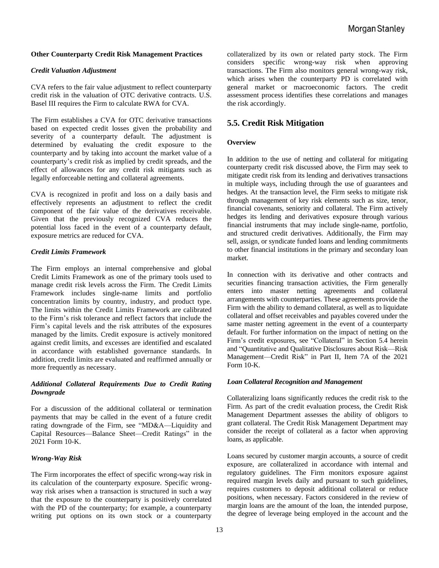#### **Other Counterparty Credit Risk Management Practices**

#### *Credit Valuation Adjustment*

CVA refers to the fair value adjustment to reflect counterparty credit risk in the valuation of OTC derivative contracts. U.S. Basel III requires the Firm to calculate RWA for CVA.

The Firm establishes a CVA for OTC derivative transactions based on expected credit losses given the probability and severity of a counterparty default. The adjustment is determined by evaluating the credit exposure to the counterparty and by taking into account the market value of a counterparty's credit risk as implied by credit spreads, and the effect of allowances for any credit risk mitigants such as legally enforceable netting and collateral agreements.

CVA is recognized in profit and loss on a daily basis and effectively represents an adjustment to reflect the credit component of the fair value of the derivatives receivable. Given that the previously recognized CVA reduces the potential loss faced in the event of a counterparty default, exposure metrics are reduced for CVA.

#### *Credit Limits Framework*

The Firm employs an internal comprehensive and global Credit Limits Framework as one of the primary tools used to manage credit risk levels across the Firm. The Credit Limits Framework includes single-name limits and portfolio concentration limits by country, industry, and product type. The limits within the Credit Limits Framework are calibrated to the Firm's risk tolerance and reflect factors that include the Firm's capital levels and the risk attributes of the exposures managed by the limits. Credit exposure is actively monitored against credit limits, and excesses are identified and escalated in accordance with established governance standards. In addition, credit limits are evaluated and reaffirmed annually or more frequently as necessary.

#### *Additional Collateral Requirements Due to Credit Rating Downgrade*

For a discussion of the additional collateral or termination payments that may be called in the event of a future credit rating downgrade of the Firm, see "MD&A—Liquidity and Capital Resources—Balance Sheet—Credit Ratings" in the 2021 Form 10-K.

#### *Wrong-Way Risk*

The Firm incorporates the effect of specific wrong-way risk in its calculation of the counterparty exposure. Specific wrongway risk arises when a transaction is structured in such a way that the exposure to the counterparty is positively correlated with the PD of the counterparty; for example, a counterparty writing put options on its own stock or a counterparty

collateralized by its own or related party stock. The Firm considers specific wrong-way risk when approving transactions. The Firm also monitors general wrong-way risk, which arises when the counterparty PD is correlated with general market or macroeconomic factors. The credit assessment process identifies these correlations and manages the risk accordingly.

#### **5.5. Credit Risk Mitigation**

#### **Overview**

In addition to the use of netting and collateral for mitigating counterparty credit risk discussed above, the Firm may seek to mitigate credit risk from its lending and derivatives transactions in multiple ways, including through the use of guarantees and hedges. At the transaction level, the Firm seeks to mitigate risk through management of key risk elements such as size, tenor, financial covenants, seniority and collateral. The Firm actively hedges its lending and derivatives exposure through various financial instruments that may include single-name, portfolio, and structured credit derivatives. Additionally, the Firm may sell, assign, or syndicate funded loans and lending commitments to other financial institutions in the primary and secondary loan market.

In connection with its derivative and other contracts and securities financing transaction activities, the Firm generally enters into master netting agreements and collateral arrangements with counterparties. These agreements provide the Firm with the ability to demand collateral, as well as to liquidate collateral and offset receivables and payables covered under the same master netting agreement in the event of a counterparty default. For further information on the impact of netting on the Firm's credit exposures, see "Collateral" in Section 5.4 herein and "Quantitative and Qualitative Disclosures about Risk—Risk Management—Credit Risk" in Part II, Item 7A of the 2021 Form 10-K.

#### *Loan Collateral Recognition and Management*

Collateralizing loans significantly reduces the credit risk to the Firm. As part of the credit evaluation process, the Credit Risk Management Department assesses the ability of obligors to grant collateral. The Credit Risk Management Department may consider the receipt of collateral as a factor when approving loans, as applicable.

Loans secured by customer margin accounts, a source of credit exposure, are collateralized in accordance with internal and regulatory guidelines. The Firm monitors exposure against required margin levels daily and pursuant to such guidelines, requires customers to deposit additional collateral or reduce positions, when necessary. Factors considered in the review of margin loans are the amount of the loan, the intended purpose, the degree of leverage being employed in the account and the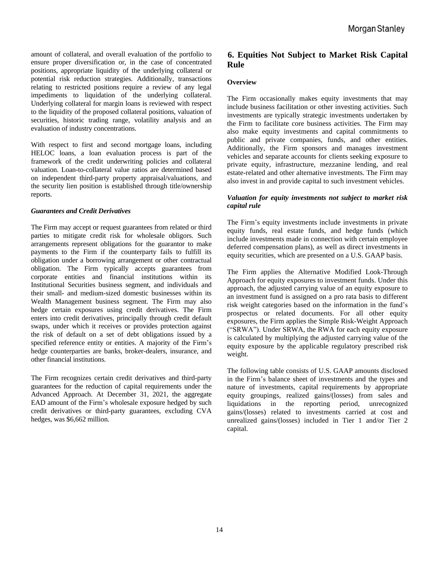amount of collateral, and overall evaluation of the portfolio to ensure proper diversification or, in the case of concentrated positions, appropriate liquidity of the underlying collateral or potential risk reduction strategies. Additionally, transactions relating to restricted positions require a review of any legal impediments to liquidation of the underlying collateral. Underlying collateral for margin loans is reviewed with respect to the liquidity of the proposed collateral positions, valuation of securities, historic trading range, volatility analysis and an evaluation of industry concentrations.

With respect to first and second mortgage loans, including HELOC loans, a loan evaluation process is part of the framework of the credit underwriting policies and collateral valuation. Loan-to-collateral value ratios are determined based on independent third-party property appraisal/valuations, and the security lien position is established through title/ownership reports.

#### *Guarantees and Credit Derivatives*

The Firm may accept or request guarantees from related or third parties to mitigate credit risk for wholesale obligors. Such arrangements represent obligations for the guarantor to make payments to the Firm if the counterparty fails to fulfill its obligation under a borrowing arrangement or other contractual obligation. The Firm typically accepts guarantees from corporate entities and financial institutions within its Institutional Securities business segment, and individuals and their small- and medium-sized domestic businesses within its Wealth Management business segment. The Firm may also hedge certain exposures using credit derivatives. The Firm enters into credit derivatives, principally through credit default swaps, under which it receives or provides protection against the risk of default on a set of debt obligations issued by a specified reference entity or entities. A majority of the Firm's hedge counterparties are banks, broker-dealers, insurance, and other financial institutions.

The Firm recognizes certain credit derivatives and third-party guarantees for the reduction of capital requirements under the Advanced Approach. At December 31, 2021, the aggregate EAD amount of the Firm's wholesale exposure hedged by such credit derivatives or third-party guarantees, excluding CVA hedges, was \$6,662 million.

## **6. Equities Not Subject to Market Risk Capital Rule**

#### **Overview**

The Firm occasionally makes equity investments that may include business facilitation or other investing activities. Such investments are typically strategic investments undertaken by the Firm to facilitate core business activities. The Firm may also make equity investments and capital commitments to public and private companies, funds, and other entities. Additionally, the Firm sponsors and manages investment vehicles and separate accounts for clients seeking exposure to private equity, infrastructure, mezzanine lending, and real estate-related and other alternative investments. The Firm may also invest in and provide capital to such investment vehicles.

#### *Valuation for equity investments not subject to market risk capital rule*

The Firm's equity investments include investments in private equity funds, real estate funds, and hedge funds (which include investments made in connection with certain employee deferred compensation plans), as well as direct investments in equity securities, which are presented on a U.S. GAAP basis.

The Firm applies the Alternative Modified Look-Through Approach for equity exposures to investment funds. Under this approach, the adjusted carrying value of an equity exposure to an investment fund is assigned on a pro rata basis to different risk weight categories based on the information in the fund's prospectus or related documents. For all other equity exposures, the Firm applies the Simple Risk-Weight Approach ("SRWA"). Under SRWA, the RWA for each equity exposure is calculated by multiplying the adjusted carrying value of the equity exposure by the applicable regulatory prescribed risk weight.

The following table consists of U.S. GAAP amounts disclosed in the Firm's balance sheet of investments and the types and nature of investments, capital requirements by appropriate equity groupings, realized gains/(losses) from sales and liquidations in the reporting period, unrecognized gains/(losses) related to investments carried at cost and unrealized gains/(losses) included in Tier 1 and/or Tier 2 capital.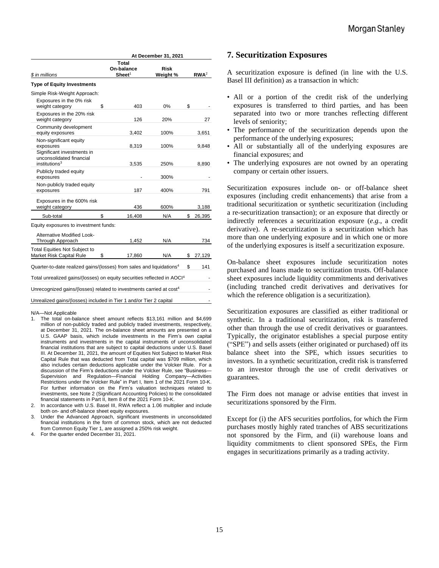|                                                                                     |    | At December 31, 2021                      |                         |    |                  |  |  |
|-------------------------------------------------------------------------------------|----|-------------------------------------------|-------------------------|----|------------------|--|--|
| \$ in millions                                                                      |    | Total<br>On-balance<br>Sheet <sup>1</sup> | <b>Risk</b><br>Weight % |    | RWA <sup>2</sup> |  |  |
| <b>Type of Equity Investments</b>                                                   |    |                                           |                         |    |                  |  |  |
| Simple Risk-Weight Approach:                                                        |    |                                           |                         |    |                  |  |  |
| Exposures in the 0% risk<br>weight category                                         | \$ | 403                                       | 0%                      | \$ |                  |  |  |
| Exposures in the 20% risk<br>weight category                                        |    | 126                                       | 20%                     |    | 27               |  |  |
| Community development<br>equity exposures                                           |    | 3,402                                     | 100%                    |    | 3,651            |  |  |
| Non-significant equity<br>exposures                                                 |    | 8,319                                     | 100%                    |    | 9,848            |  |  |
| Significant investments in<br>unconsolidated financial<br>institutions <sup>3</sup> |    | 3,535                                     | 250%                    |    | 8,890            |  |  |
| Publicly traded equity<br>exposures                                                 |    |                                           | 300%                    |    |                  |  |  |
| Non-publicly traded equity<br>exposures                                             |    | 187                                       | 400%                    |    | 791              |  |  |
| Exposures in the 600% risk<br>weight category                                       |    | 436                                       | 600%                    |    | 3,188            |  |  |
| Sub-total                                                                           | \$ | 16,408                                    | N/A                     | \$ | 26,395           |  |  |

| Alternative Modified Look-<br>Through Approach                                      | 1,452  | N/A |    | 734    |
|-------------------------------------------------------------------------------------|--------|-----|----|--------|
| <b>Total Equities Not Subject to</b><br>Market Risk Capital Rule<br>\$              | 17,860 | N/A | S. | 27,129 |
| Quarter-to-date realized gains/(losses) from sales and liquidations <sup>4</sup>    |        |     | \$ | 141    |
| Total unrealized gains/(losses) on equity securities reflected in AOCI <sup>4</sup> |        |     |    |        |
| Unrecognized gains/(losses) related to investments carried at cost <sup>4</sup>     |        |     |    |        |
| Unrealized gains/(losses) included in Tier 1 and/or Tier 2 capital                  |        |     |    |        |

#### N/A—Not Applicable

- 1. The total on-balance sheet amount reflects \$13,161 million and \$4,699 million of non-publicly traded and publicly traded investments, respectively, at December 31, 2021. The on-balance sheet amounts are presented on a U.S. GAAP basis, which include investments in the Firm's own capital instruments and investments in the capital instruments of unconsolidated financial institutions that are subject to capital deductions under U.S. Basel III. At December 31, 2021, the amount of Equities Not Subject to Market Risk Capital Rule that was deducted from Total capital was \$709 million, which also includes certain deductions applicable under the Volcker Rule. For a discussion of the Firm's deductions under the Volcker Rule, see "Business— Supervision and Regulation—Financial Holding Company—Activities Restrictions under the Volcker Rule" in Part I, Item 1 of the 2021 Form 10-K. For further information on the Firm's valuation techniques related to investments, see Note 2 (Significant Accounting Policies) to the consolidated financial statements in Part II, Item 8 of the 2021 Form 10-K.
- 2. In accordance with U.S. Basel III, RWA reflect a 1.06 multiplier and include both on- and off-balance sheet equity exposures.

3. Under the Advanced Approach, significant investments in unconsolidated financial institutions in the form of common stock, which are not deducted from Common Equity Tier 1, are assigned a 250% risk weight.

4. For the quarter ended December 31, 2021.

#### **7. Securitization Exposures**

A securitization exposure is defined (in line with the U.S. Basel III definition) as a transaction in which:

- All or a portion of the credit risk of the underlying exposures is transferred to third parties, and has been separated into two or more tranches reflecting different levels of seniority;
- The performance of the securitization depends upon the performance of the underlying exposures;
- All or substantially all of the underlying exposures are financial exposures; and
- The underlying exposures are not owned by an operating company or certain other issuers.

Securitization exposures include on- or off-balance sheet exposures (including credit enhancements) that arise from a traditional securitization or synthetic securitization (including a re-securitization transaction); or an exposure that directly or indirectly references a securitization exposure (*e.g.*, a credit derivative). A re-securitization is a securitization which has more than one underlying exposure and in which one or more of the underlying exposures is itself a securitization exposure.

On-balance sheet exposures include securitization notes purchased and loans made to securitization trusts. Off-balance sheet exposures include liquidity commitments and derivatives (including tranched credit derivatives and derivatives for which the reference obligation is a securitization).

Securitization exposures are classified as either traditional or synthetic. In a traditional securitization, risk is transferred other than through the use of credit derivatives or guarantees. Typically, the originator establishes a special purpose entity ("SPE") and sells assets (either originated or purchased) off its balance sheet into the SPE, which issues securities to investors. In a synthetic securitization, credit risk is transferred to an investor through the use of credit derivatives or guarantees.

The Firm does not manage or advise entities that invest in securitizations sponsored by the Firm.

Except for (i) the AFS securities portfolios, for which the Firm purchases mostly highly rated tranches of ABS securitizations not sponsored by the Firm, and (ii) warehouse loans and liquidity commitments to client sponsored SPEs, the Firm engages in securitizations primarily as a trading activity.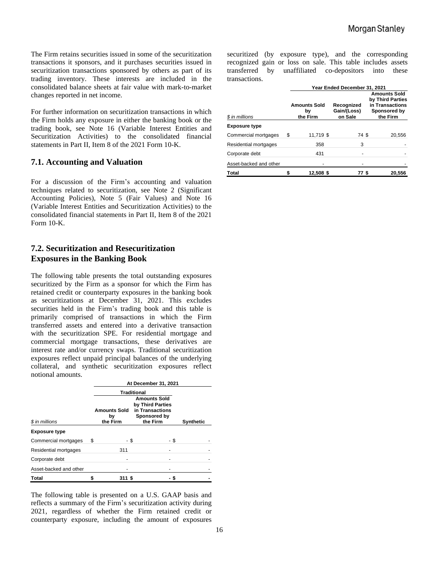The Firm retains securities issued in some of the securitization transactions it sponsors, and it purchases securities issued in securitization transactions sponsored by others as part of its trading inventory. These interests are included in the consolidated balance sheets at fair value with mark-to-market changes reported in net income.

For further information on securitization transactions in which the Firm holds any exposure in either the banking book or the trading book, see Note 16 (Variable Interest Entities and Securitization Activities) to the consolidated financial statements in Part II, Item 8 of the 2021 Form 10-K.

### **7.1. Accounting and Valuation**

For a discussion of the Firm's accounting and valuation techniques related to securitization, see Note 2 (Significant Accounting Policies), Note 5 (Fair Values) and Note 16 (Variable Interest Entities and Securitization Activities) to the consolidated financial statements in Part II, Item 8 of the 2021 Form 10-K.

## **7.2. Securitization and Resecuritization Exposures in the Banking Book**

The following table presents the total outstanding exposures securitized by the Firm as a sponsor for which the Firm has retained credit or counterparty exposures in the banking book as securitizations at December 31, 2021. This excludes securities held in the Firm's trading book and this table is primarily comprised of transactions in which the Firm transferred assets and entered into a derivative transaction with the securitization SPE. For residential mortgage and commercial mortgage transactions, these derivatives are interest rate and/or currency swaps. Traditional securitization exposures reflect unpaid principal balances of the underlying collateral, and synthetic securitization exposures reflect notional amounts.

|                        | At December 31, 2021                                                                                                          |          |          |      |                  |  |
|------------------------|-------------------------------------------------------------------------------------------------------------------------------|----------|----------|------|------------------|--|
|                        | <b>Traditional</b><br><b>Amounts Sold</b><br>by Third Parties<br>in Transactions<br><b>Amounts Sold</b><br>Sponsored by<br>by |          |          |      |                  |  |
| \$ in millions         |                                                                                                                               | the Firm | the Firm |      | <b>Synthetic</b> |  |
| <b>Exposure type</b>   |                                                                                                                               |          |          |      |                  |  |
| Commercial mortgages   | S                                                                                                                             | - \$     |          | - \$ |                  |  |
| Residential mortgages  |                                                                                                                               | 311      |          |      |                  |  |
| Corporate debt         |                                                                                                                               |          |          |      |                  |  |
| Asset-backed and other |                                                                                                                               |          |          |      |                  |  |
| <b>Total</b>           |                                                                                                                               | 311 \$   |          |      |                  |  |

The following table is presented on a U.S. GAAP basis and reflects a summary of the Firm's securitization activity during 2021, regardless of whether the Firm retained credit or counterparty exposure, including the amount of exposures securitized (by exposure type), and the corresponding recognized gain or loss on sale. This table includes assets transferred by unaffiliated co-depositors into these transactions.

|                        | Year Ended December 31, 2021 |                                       |                                      |                                                                                        |  |  |
|------------------------|------------------------------|---------------------------------------|--------------------------------------|----------------------------------------------------------------------------------------|--|--|
| \$ in millions         |                              | <b>Amounts Sold</b><br>bγ<br>the Firm | Recognized<br>Gain/(Loss)<br>on Sale | <b>Amounts Sold</b><br>by Third Parties<br>in Transactions<br>Sponsored by<br>the Firm |  |  |
| <b>Exposure type</b>   |                              |                                       |                                      |                                                                                        |  |  |
| Commercial mortgages   | S                            | 11,719 \$                             | 74 \$                                | 20,556                                                                                 |  |  |
| Residential mortgages  |                              | 358                                   | 3                                    |                                                                                        |  |  |
| Corporate debt         |                              | 431                                   |                                      |                                                                                        |  |  |
| Asset-backed and other |                              |                                       |                                      |                                                                                        |  |  |
| Total                  |                              | 12,508 \$                             | 77 S                                 | 20,556                                                                                 |  |  |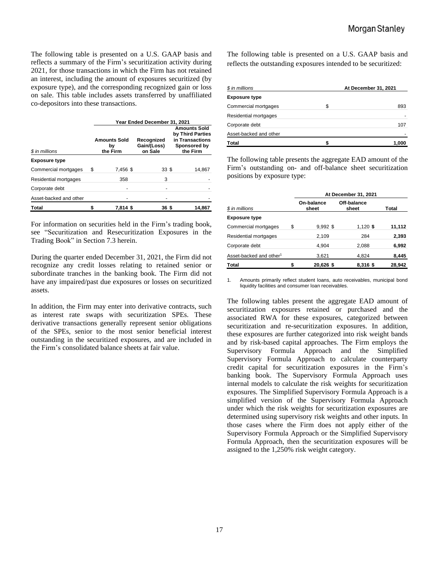The following table is presented on a U.S. GAAP basis and reflects a summary of the Firm's securitization activity during 2021, for those transactions in which the Firm has not retained an interest, including the amount of exposures securitized (by exposure type), and the corresponding recognized gain or loss on sale. This table includes assets transferred by unaffiliated co-depositors into these transactions.

|                        | Year Ended December 31, 2021          |          |                                      |  |                                                                                        |  |
|------------------------|---------------------------------------|----------|--------------------------------------|--|----------------------------------------------------------------------------------------|--|
| \$ in millions         | <b>Amounts Sold</b><br>bγ<br>the Firm |          | Recognized<br>Gain/(Loss)<br>on Sale |  | <b>Amounts Sold</b><br>by Third Parties<br>in Transactions<br>Sponsored by<br>the Firm |  |
| <b>Exposure type</b>   |                                       |          |                                      |  |                                                                                        |  |
| Commercial mortgages   | \$                                    | 7,456 \$ | 33S                                  |  | 14,867                                                                                 |  |
| Residential mortgages  |                                       | 358      | 3                                    |  |                                                                                        |  |
| Corporate debt         |                                       |          |                                      |  |                                                                                        |  |
| Asset-backed and other |                                       |          |                                      |  |                                                                                        |  |
| <b>Total</b>           |                                       | 7,814 \$ | 36 \$                                |  | 14,867                                                                                 |  |

For information on securities held in the Firm's trading book, see "Securitization and Resecuritization Exposures in the Trading Book" in Section 7.3 herein.

During the quarter ended December 31, 2021, the Firm did not recognize any credit losses relating to retained senior or subordinate tranches in the banking book. The Firm did not have any impaired/past due exposures or losses on securitized assets.

In addition, the Firm may enter into derivative contracts, such as interest rate swaps with securitization SPEs. These derivative transactions generally represent senior obligations of the SPEs, senior to the most senior beneficial interest outstanding in the securitized exposures, and are included in the Firm's consolidated balance sheets at fair value.

The following table is presented on a U.S. GAAP basis and reflects the outstanding exposures intended to be securitized:

| \$ in millions         | At December 31, 2021 |
|------------------------|----------------------|
| <b>Exposure type</b>   |                      |
| Commercial mortgages   | \$<br>893            |
| Residential mortgages  |                      |
| Corporate debt         | 107                  |
| Asset-backed and other |                      |
| Total                  | 1.000                |

The following table presents the aggregate EAD amount of the Firm's outstanding on- and off-balance sheet securitization positions by exposure type:

|                                     | At December 31, 2021 |                     |                      |        |  |
|-------------------------------------|----------------------|---------------------|----------------------|--------|--|
| \$ in millions                      |                      | On-balance<br>sheet | Off-balance<br>sheet | Total  |  |
| <b>Exposure type</b>                |                      |                     |                      |        |  |
| Commercial mortgages                | \$                   | 9,992 \$            | $1,120$ \$           | 11,112 |  |
| Residential mortgages               |                      | 2.109               | 284                  | 2,393  |  |
| Corporate debt                      |                      | 4.904               | 2,088                | 6,992  |  |
| Asset-backed and other <sup>1</sup> |                      | 3,621               | 4,824                | 8,445  |  |
| Total                               |                      | 20,626 \$           | 8,316 \$             | 28,942 |  |

1. Amounts primarily reflect student loans, auto receivables, municipal bond liquidity facilities and consumer loan receivables.

The following tables present the aggregate EAD amount of securitization exposures retained or purchased and the associated RWA for these exposures, categorized between securitization and re-securitization exposures. In addition, these exposures are further categorized into risk weight bands and by risk-based capital approaches. The Firm employs the Supervisory Formula Approach and the Simplified Supervisory Formula Approach to calculate counterparty credit capital for securitization exposures in the Firm's banking book. The Supervisory Formula Approach uses internal models to calculate the risk weights for securitization exposures. The Simplified Supervisory Formula Approach is a simplified version of the Supervisory Formula Approach under which the risk weights for securitization exposures are determined using supervisory risk weights and other inputs. In those cases where the Firm does not apply either of the Supervisory Formula Approach or the Simplified Supervisory Formula Approach, then the securitization exposures will be assigned to the 1,250% risk weight category.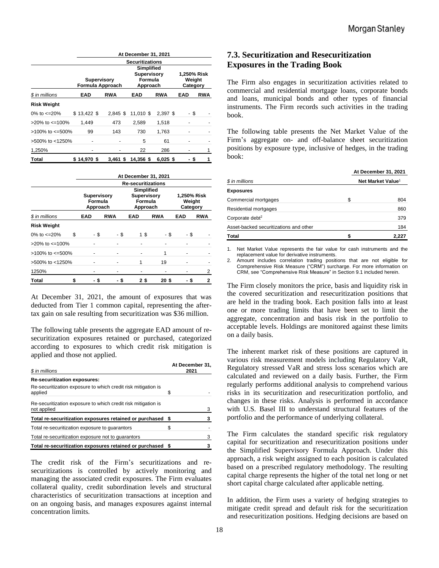|                          |             | At December 31, 2021                   |                                                         |            |                                   |            |  |  |
|--------------------------|-------------|----------------------------------------|---------------------------------------------------------|------------|-----------------------------------|------------|--|--|
|                          |             | <b>Securitizations</b>                 |                                                         |            |                                   |            |  |  |
|                          |             | <b>Supervisory</b><br>Formula Approach | Simplified<br><b>Supervisory</b><br>Formula<br>Approach |            | 1,250% Risk<br>Weight<br>Category |            |  |  |
| \$ in millions           | EAD         | <b>RWA</b>                             | EAD                                                     | <b>RWA</b> | EAD                               | <b>RWA</b> |  |  |
| <b>Risk Weight</b>       |             |                                        |                                                         |            |                                   |            |  |  |
| 0% to $\epsilon$ =20%    | \$13,422 \$ | $2.845$ \$                             | 11.010 \$                                               | 2,397 \$   | - \$                              |            |  |  |
| $>20\%$ to $\leq 100\%$  | 1.449       | 473                                    | 2,589                                                   | 1,518      |                                   |            |  |  |
| $>100\%$ to $\leq 500\%$ | 99          | 143                                    | 730                                                     | 1,763      |                                   |            |  |  |
| >500% to <1250%          |             |                                        | 5                                                       | 61         |                                   |            |  |  |
| 1,250%                   |             |                                        | 22                                                      | 286        |                                   | 1          |  |  |
| Total                    | \$14.970\$  | 3.461 \$                               | 14.356 \$                                               | $6.025$ \$ | \$                                | 1          |  |  |

|                          |    | At December 31, 2021 |                                                                                                      |                           |            |            |                                   |  |
|--------------------------|----|----------------------|------------------------------------------------------------------------------------------------------|---------------------------|------------|------------|-----------------------------------|--|
|                          |    |                      |                                                                                                      | <b>Re-securitizations</b> |            |            |                                   |  |
|                          |    |                      | Simplified<br><b>Supervisory</b><br><b>Supervisory</b><br>Formula<br>Formula<br>Approach<br>Approach |                           |            |            | 1,250% Risk<br>Weight<br>Category |  |
| \$ in millions           |    | <b>EAD</b>           | <b>RWA</b>                                                                                           | <b>EAD</b>                | <b>RWA</b> | <b>EAD</b> | <b>RWA</b>                        |  |
| <b>Risk Weight</b>       |    |                      |                                                                                                      |                           |            |            |                                   |  |
| 0% to $\epsilon$ =20%    | \$ | - \$                 | - \$                                                                                                 | 15                        | - \$       | - \$       |                                   |  |
| $>20\%$ to $\leq 100\%$  |    |                      |                                                                                                      |                           |            |            |                                   |  |
| $>100\%$ to $\leq 500\%$ |    |                      |                                                                                                      |                           | 1          |            |                                   |  |
| >500% to <1250%          |    |                      |                                                                                                      | 1                         | 19         |            |                                   |  |
| 1250%                    |    |                      |                                                                                                      |                           |            |            | 2                                 |  |
| Total                    | S  | S                    |                                                                                                      | 2\$                       | 20 S       | S          | 2                                 |  |

At December 31, 2021, the amount of exposures that was deducted from Tier 1 common capital, representing the aftertax gain on sale resulting from securitization was \$36 million.

The following table presents the aggregate EAD amount of resecuritization exposures retained or purchased, categorized according to exposures to which credit risk mitigation is applied and those not applied.

| \$ in millions                                                               | At December 31,<br>2021 |   |  |
|------------------------------------------------------------------------------|-------------------------|---|--|
| <b>Re-securitization exposures:</b>                                          |                         |   |  |
| Re-securitization exposure to which credit risk mitigation is<br>applied     | \$                      |   |  |
| Re-securitization exposure to which credit risk mitigation is<br>not applied |                         | 3 |  |
| Total re-securitization exposures retained or purchased \$                   |                         |   |  |
| Total re-securitization exposure to quarantors                               | S                       |   |  |
| Total re-securitization exposure not to quarantors                           |                         |   |  |
| Total re-securitization exposures retained or purchased \$                   |                         |   |  |

The credit risk of the Firm's securitizations and resecuritizations is controlled by actively monitoring and managing the associated credit exposures. The Firm evaluates collateral quality, credit subordination levels and structural characteristics of securitization transactions at inception and on an ongoing basis, and manages exposures against internal concentration limits.

## **7.3. Securitization and Resecuritization Exposures in the Trading Book**

The Firm also engages in securitization activities related to commercial and residential mortgage loans, corporate bonds and loans, municipal bonds and other types of financial instruments. The Firm records such activities in the trading book.

The following table presents the Net Market Value of the Firm's aggregate on- and off-balance sheet securitization positions by exposure type, inclusive of hedges, in the trading book:

|                                        | At December 31, 2021          |       |  |  |
|----------------------------------------|-------------------------------|-------|--|--|
| \$ in millions                         | Net Market Value <sup>1</sup> |       |  |  |
| <b>Exposures</b>                       |                               |       |  |  |
| Commercial mortgages                   | \$                            | 804   |  |  |
| Residential mortgages                  |                               | 860   |  |  |
| Corporate debt <sup>2</sup>            |                               | 379   |  |  |
| Asset-backed securitizations and other |                               | 184   |  |  |
| Total                                  |                               | 2,227 |  |  |

1. Net Market Value represents the fair value for cash instruments and the replacement value for derivative instruments.

2. Amount includes correlation trading positions that are not eligible for Comprehensive Risk Measure ("CRM") surcharge. For more information on CRM, see "Comprehensive Risk Measure" in Section 9.1 included herein.

The Firm closely monitors the price, basis and liquidity risk in the covered securitization and resecuritization positions that are held in the trading book. Each position falls into at least one or more trading limits that have been set to limit the aggregate, concentration and basis risk in the portfolio to acceptable levels. Holdings are monitored against these limits on a daily basis.

The inherent market risk of these positions are captured in various risk measurement models including Regulatory VaR, Regulatory stressed VaR and stress loss scenarios which are calculated and reviewed on a daily basis. Further, the Firm regularly performs additional analysis to comprehend various risks in its securitization and resecuritization portfolio, and changes in these risks. Analysis is performed in accordance with U.S. Basel III to understand structural features of the portfolio and the performance of underlying collateral.

The Firm calculates the standard specific risk regulatory capital for securitization and resecuritization positions under the Simplified Supervisory Formula Approach. Under this approach, a risk weight assigned to each position is calculated based on a prescribed regulatory methodology. The resulting capital charge represents the higher of the total net long or net short capital charge calculated after applicable netting.

In addition, the Firm uses a variety of hedging strategies to mitigate credit spread and default risk for the securitization and resecuritization positions. Hedging decisions are based on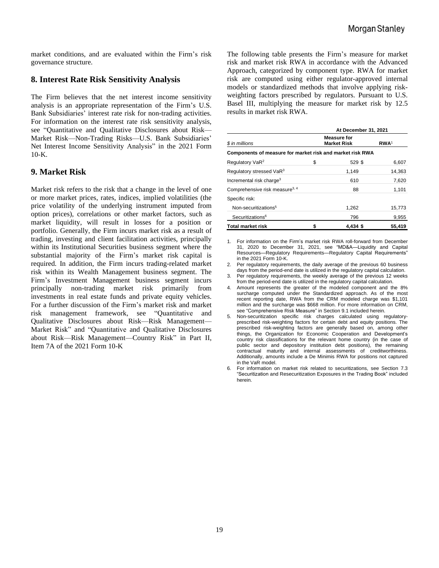market conditions, and are evaluated within the Firm's risk governance structure.

#### **8. Interest Rate Risk Sensitivity Analysis**

The Firm believes that the net interest income sensitivity analysis is an appropriate representation of the Firm's U.S. Bank Subsidiaries' interest rate risk for non-trading activities. For information on the interest rate risk sensitivity analysis, see "Quantitative and Qualitative Disclosures about Risk— Market Risk—Non-Trading Risks—U.S. Bank Subsidiaries' Net Interest Income Sensitivity Analysis" in the 2021 Form 10-K.

#### **9. Market Risk**

Market risk refers to the risk that a change in the level of one or more market prices, rates, indices, implied volatilities (the price volatility of the underlying instrument imputed from option prices), correlations or other market factors, such as market liquidity, will result in losses for a position or portfolio. Generally, the Firm incurs market risk as a result of trading, investing and client facilitation activities, principally within its Institutional Securities business segment where the substantial majority of the Firm's market risk capital is required. In addition, the Firm incurs trading-related market risk within its Wealth Management business segment. The Firm's Investment Management business segment incurs principally non-trading market risk primarily from investments in real estate funds and private equity vehicles. For a further discussion of the Firm's market risk and market risk management framework, see "Quantitative and Qualitative Disclosures about Risk—Risk Management— Market Risk" and "Quantitative and Qualitative Disclosures about Risk—Risk Management—Country Risk" in Part II, Item 7A of the 2021 Form 10-K

The following table presents the Firm's measure for market risk and market risk RWA in accordance with the Advanced Approach, categorized by component type. RWA for market risk are computed using either regulator-approved internal models or standardized methods that involve applying riskweighting factors prescribed by regulators. Pursuant to U.S. Basel III, multiplying the measure for market risk by 12.5 results in market risk RWA.

|                                                           | At December 31, 2021 |                                          |                  |  |  |  |
|-----------------------------------------------------------|----------------------|------------------------------------------|------------------|--|--|--|
| \$ in millions                                            |                      | <b>Measure for</b><br><b>Market Risk</b> | RWA <sup>1</sup> |  |  |  |
| Components of measure for market risk and market risk RWA |                      |                                          |                  |  |  |  |
| Regulatory VaR <sup>2</sup>                               | \$                   | 529 \$                                   | 6,607            |  |  |  |
| Regulatory stressed VaR <sup>3</sup>                      |                      | 1.149                                    | 14,363           |  |  |  |
| Incremental risk charge <sup>3</sup>                      |                      | 610                                      | 7,620            |  |  |  |
| Comprehensive risk measure <sup>3, 4</sup>                |                      | 88                                       | 1,101            |  |  |  |
| Specific risk:                                            |                      |                                          |                  |  |  |  |
| Non-securitizations <sup>5</sup>                          |                      | 1,262                                    | 15,773           |  |  |  |
| Securitizations <sup>6</sup>                              |                      | 796                                      | 9,955            |  |  |  |
| <b>Total market risk</b>                                  | \$                   | $4.434$ \$                               | 55,419           |  |  |  |

1. For information on the Firm's market risk RWA roll-forward from December 31, 2020 to December 31, 2021, see "MD&A—Liquidity and Capital Resources—Regulatory Requirements—Regulatory Capital Requirements" in the 2021 Form 10-K.

2. Per regulatory requirements, the daily average of the previous 60 business days from the period-end date is utilized in the regulatory capital calculation.

3. Per regulatory requirements, the weekly average of the previous 12 weeks from the period-end date is utilized in the regulatory capital calculation.

4. Amount represents the greater of the modeled component and the 8% surcharge computed under the Standardized approach. As of the most recent reporting date, RWA from the CRM modeled charge was \$1,101 million and the surcharge was \$668 million. For more information on CRM, see "Comprehensive Risk Measure" in Section 9.1 included herein.

5. Non-securitization specific risk charges calculated using regulatoryprescribed risk-weighting factors for certain debt and equity positions. The prescribed risk-weighting factors are generally based on, among other things, the Organization for Economic Cooperation and Development's country risk classifications for the relevant home country (in the case of public sector and depository institution debt positions), the remaining contractual maturity and internal assessments of creditworthiness. Additionally, amounts include a De Minimis RWA for positions not captured in the VaR model.

6. For information on market risk related to securitizations, see Section 7.3 "Securitization and Resecuritization Exposures in the Trading Book" included herein.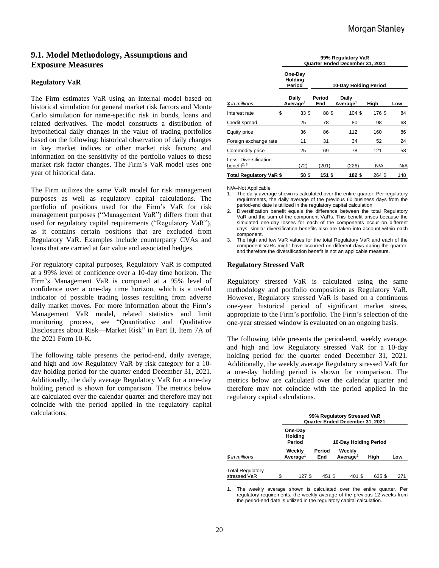## **9.1. Model Methodology, Assumptions and Exposure Measures**

#### **Regulatory VaR**

The Firm estimates VaR using an internal model based on historical simulation for general market risk factors and Monte Carlo simulation for name-specific risk in bonds, loans and related derivatives. The model constructs a distribution of hypothetical daily changes in the value of trading portfolios based on the following: historical observation of daily changes in key market indices or other market risk factors; and information on the sensitivity of the portfolio values to these market risk factor changes. The Firm's VaR model uses one year of historical data.

The Firm utilizes the same VaR model for risk management purposes as well as regulatory capital calculations. The portfolio of positions used for the Firm's VaR for risk management purposes ("Management VaR") differs from that used for regulatory capital requirements ("Regulatory VaR"), as it contains certain positions that are excluded from Regulatory VaR. Examples include counterparty CVAs and loans that are carried at fair value and associated hedges.

For regulatory capital purposes, Regulatory VaR is computed at a 99% level of confidence over a 10-day time horizon. The Firm's Management VaR is computed at a 95% level of confidence over a one-day time horizon, which is a useful indicator of possible trading losses resulting from adverse daily market moves. For more information about the Firm's Management VaR model, related statistics and limit monitoring process, see "Quantitative and Qualitative Disclosures about Risk—Market Risk" in Part II, Item 7A of the 2021 Form 10-K.

The following table presents the period-end, daily average, and high and low Regulatory VaR by risk category for a 10 day holding period for the quarter ended December 31, 2021. Additionally, the daily average Regulatory VaR for a one-day holding period is shown for comparison. The metrics below are calculated over the calendar quarter and therefore may not coincide with the period applied in the regulatory capital calculations.

|                                                  |                              | 99% Regulatory VaR<br>Quarter Ended December 31, 2021 |                       |                               |        |     |  |  |
|--------------------------------------------------|------------------------------|-------------------------------------------------------|-----------------------|-------------------------------|--------|-----|--|--|
|                                                  | One-Day<br>Holding<br>Period |                                                       | 10-Day Holding Period |                               |        |     |  |  |
| \$ in millions                                   |                              | Daily<br>Average <sup>1</sup>                         | Period<br>End         | Daily<br>Average <sup>1</sup> | High   | Low |  |  |
| Interest rate                                    | \$                           | 33 <sup>5</sup>                                       | 88\$                  | 104 \$                        | 176 \$ | 84  |  |  |
| Credit spread                                    |                              | 25                                                    | 78                    | 80                            | 98     | 68  |  |  |
| Equity price                                     |                              | 36                                                    | 86                    | 112                           | 160    | 86  |  |  |
| Foreign exchange rate                            |                              | 11                                                    | 31                    | 34                            | 52     | 24  |  |  |
| Commodity price                                  |                              | 25                                                    | 69                    | 78                            | 121    | 58  |  |  |
| Less: Diversification<br>benefit <sup>2, 3</sup> |                              | (72)                                                  | (201)                 | (226)                         | N/A    | N/A |  |  |
| Total Regulatory VaR \$                          |                              | 58\$                                                  | 151 \$                | 182 \$                        | 264 \$ | 148 |  |  |

N/A–Not Applicable

1. The daily average shown is calculated over the entire quarter. Per regulatory requirements, the daily average of the previous 60 business days from the period-end date is utilized in the regulatory capital calculation.

2. Diversification benefit equals the difference between the total Regulatory VaR and the sum of the component VaRs. This benefit arises because the simulated one-day losses for each of the components occur on different days; similar diversification benefits also are taken into account within each component.

The high and low VaR values for the total Regulatory VaR and each of the component VaRs might have occurred on different days during the quarter, and therefore the diversification benefit is not an applicable measure.

#### **Regulatory Stressed VaR**

Regulatory stressed VaR is calculated using the same methodology and portfolio composition as Regulatory VaR. However, Regulatory stressed VaR is based on a continuous one-year historical period of significant market stress, appropriate to the Firm's portfolio. The Firm's selection of the one-year stressed window is evaluated on an ongoing basis.

The following table presents the period-end, weekly average, and high and low Regulatory stressed VaR for a 10-day holding period for the quarter ended December 31, 2021. Additionally, the weekly average Regulatory stressed VaR for a one-day holding period is shown for comparison. The metrics below are calculated over the calendar quarter and therefore may not coincide with the period applied in the regulatory capital calculations.

|                                         | 99% Regulatory Stressed VaR<br>Quarter Ended December 31, 2021 |                                |                       |  |                                |       |     |  |  |
|-----------------------------------------|----------------------------------------------------------------|--------------------------------|-----------------------|--|--------------------------------|-------|-----|--|--|
|                                         | One-Day<br><b>Holding</b><br>Period                            |                                | 10-Day Holding Period |  |                                |       |     |  |  |
| \$ in millions                          |                                                                | Weekly<br>Average <sup>1</sup> | Period<br>End         |  | Weekly<br>Average <sup>1</sup> | High  | Low |  |  |
| <b>Total Regulatory</b><br>stressed VaR | \$.                                                            | 127 S                          | 451 \$                |  | 401 \$                         | 635 S | 271 |  |  |

1. The weekly average shown is calculated over the entire quarter. Per regulatory requirements, the weekly average of the previous 12 weeks from the period-end date is utilized in the regulatory capital calculation.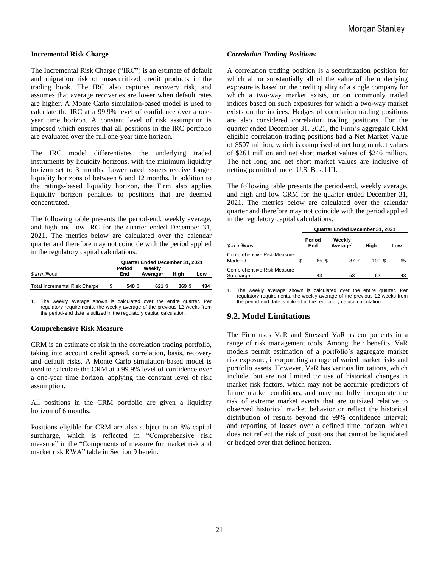#### **Incremental Risk Charge**

The Incremental Risk Charge ("IRC") is an estimate of default and migration risk of unsecuritized credit products in the trading book. The IRC also captures recovery risk, and assumes that average recoveries are lower when default rates are higher. A Monte Carlo simulation-based model is used to calculate the IRC at a 99.9% level of confidence over a oneyear time horizon. A constant level of risk assumption is imposed which ensures that all positions in the IRC portfolio are evaluated over the full one-year time horizon.

The IRC model differentiates the underlying traded instruments by liquidity horizons, with the minimum liquidity horizon set to 3 months. Lower rated issuers receive longer liquidity horizons of between 6 and 12 months. In addition to the ratings-based liquidity horizon, the Firm also applies liquidity horizon penalties to positions that are deemed concentrated.

The following table presents the period-end, weekly average, and high and low IRC for the quarter ended December 31, 2021. The metrics below are calculated over the calendar quarter and therefore may not coincide with the period applied in the regulatory capital calculations.

|                                      | Quarter Ended December 31, 2021 |               |                                |       |     |  |
|--------------------------------------|---------------------------------|---------------|--------------------------------|-------|-----|--|
| \$ in millions                       |                                 | Period<br>End | Weekly<br>Average <sup>1</sup> | Hiah  | Low |  |
| <b>Total Incremental Risk Charge</b> |                                 | 548 \$        | 621 \$                         | 869\$ | 434 |  |

1. The weekly average shown is calculated over the entire quarter. Per regulatory requirements, the weekly average of the previous 12 weeks from the period-end date is utilized in the regulatory capital calculation.

#### **Comprehensive Risk Measure**

CRM is an estimate of risk in the correlation trading portfolio, taking into account credit spread, correlation, basis, recovery and default risks. A Monte Carlo simulation-based model is used to calculate the CRM at a 99.9% level of confidence over a one-year time horizon, applying the constant level of risk assumption.

All positions in the CRM portfolio are given a liquidity horizon of 6 months.

Positions eligible for CRM are also subject to an 8% capital surcharge, which is reflected in "Comprehensive risk measure" in the "Components of measure for market risk and market risk RWA" table in Section 9 herein.

#### *Correlation Trading Positions*

A correlation trading position is a securitization position for which all or substantially all of the value of the underlying exposure is based on the credit quality of a single company for which a two-way market exists, or on commonly traded indices based on such exposures for which a two-way market exists on the indices. Hedges of correlation trading positions are also considered correlation trading positions. For the quarter ended December 31, 2021, the Firm's aggregate CRM eligible correlation trading positions had a Net Market Value of \$507 million, which is comprised of net long market values of \$261 million and net short market values of \$246 million. The net long and net short market values are inclusive of netting permitted under U.S. Basel III.

The following table presents the period-end, weekly average, and high and low CRM for the quarter ended December 31, 2021. The metrics below are calculated over the calendar quarter and therefore may not coincide with the period applied in the regulatory capital calculations.

|                                         | Quarter Ended December 31, 2021 |       |                      |       |     |  |  |  |
|-----------------------------------------|---------------------------------|-------|----------------------|-------|-----|--|--|--|
| \$ in millions                          | Period<br>Weekly<br>End         |       | Average <sup>1</sup> | High  | Low |  |  |  |
| Comprehensive Risk Measure<br>Modeled   | \$                              | 65 \$ | 87 S                 | 100 S | 65  |  |  |  |
| Comprehensive Risk Measure<br>Surcharge |                                 | 43    | 53                   | 62    | 43  |  |  |  |

1. The weekly average shown is calculated over the entire quarter. Per regulatory requirements, the weekly average of the previous 12 weeks from the period-end date is utilized in the regulatory capital calculation.

#### **9.2. Model Limitations**

The Firm uses VaR and Stressed VaR as components in a range of risk management tools. Among their benefits, VaR models permit estimation of a portfolio's aggregate market risk exposure, incorporating a range of varied market risks and portfolio assets. However, VaR has various limitations, which include, but are not limited to: use of historical changes in market risk factors, which may not be accurate predictors of future market conditions, and may not fully incorporate the risk of extreme market events that are outsized relative to observed historical market behavior or reflect the historical distribution of results beyond the 99% confidence interval; and reporting of losses over a defined time horizon, which does not reflect the risk of positions that cannot be liquidated or hedged over that defined horizon.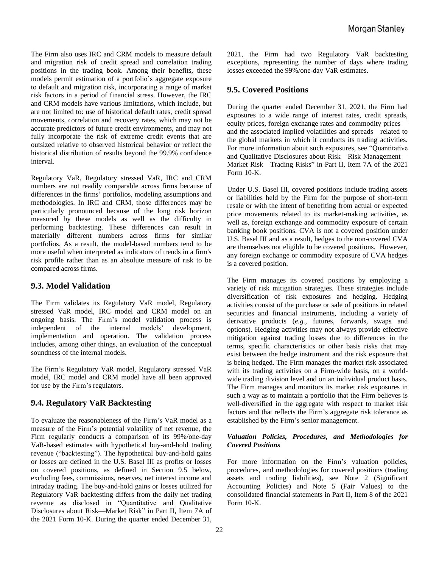The Firm also uses IRC and CRM models to measure default and migration risk of credit spread and correlation trading positions in the trading book. Among their benefits, these models permit estimation of a portfolio's aggregate exposure to default and migration risk, incorporating a range of market risk factors in a period of financial stress. However, the IRC and CRM models have various limitations, which include, but are not limited to: use of historical default rates, credit spread movements, correlation and recovery rates, which may not be accurate predictors of future credit environments, and may not fully incorporate the risk of extreme credit events that are outsized relative to observed historical behavior or reflect the historical distribution of results beyond the 99.9% confidence interval.

Regulatory VaR, Regulatory stressed VaR, IRC and CRM numbers are not readily comparable across firms because of differences in the firms' portfolios, modeling assumptions and methodologies. In IRC and CRM, those differences may be particularly pronounced because of the long risk horizon measured by these models as well as the difficulty in performing backtesting. These differences can result in materially different numbers across firms for similar portfolios. As a result, the model-based numbers tend to be more useful when interpreted as indicators of trends in a firm's risk profile rather than as an absolute measure of risk to be compared across firms.

## **9.3. Model Validation**

The Firm validates its Regulatory VaR model, Regulatory stressed VaR model, IRC model and CRM model on an ongoing basis. The Firm's model validation process is independent of the internal models' development, implementation and operation. The validation process includes, among other things, an evaluation of the conceptual soundness of the internal models.

The Firm's Regulatory VaR model, Regulatory stressed VaR model, IRC model and CRM model have all been approved for use by the Firm's regulators.

## **9.4. Regulatory VaR Backtesting**

To evaluate the reasonableness of the Firm's VaR model as a measure of the Firm's potential volatility of net revenue, the Firm regularly conducts a comparison of its 99%/one-day VaR-based estimates with hypothetical buy-and-hold trading revenue ("backtesting"). The hypothetical buy-and-hold gains or losses are defined in the U.S. Basel III as profits or losses on covered positions, as defined in Section 9.5 below, excluding fees, commissions, reserves, net interest income and intraday trading. The buy-and-hold gains or losses utilized for Regulatory VaR backtesting differs from the daily net trading revenue as disclosed in "Quantitative and Qualitative Disclosures about Risk—Market Risk" in Part II, Item 7A of the 2021 Form 10-K. During the quarter ended December 31, 2021, the Firm had two Regulatory VaR backtesting exceptions, representing the number of days where trading losses exceeded the 99%/one-day VaR estimates.

## **9.5. Covered Positions**

During the quarter ended December 31, 2021, the Firm had exposures to a wide range of interest rates, credit spreads, equity prices, foreign exchange rates and commodity prices and the associated implied volatilities and spreads—related to the global markets in which it conducts its trading activities. For more information about such exposures, see "Quantitative and Qualitative Disclosures about Risk—Risk Management— Market Risk—Trading Risks" in Part II, Item 7A of the 2021 Form 10-K.

Under U.S. Basel III, covered positions include trading assets or liabilities held by the Firm for the purpose of short-term resale or with the intent of benefiting from actual or expected price movements related to its market-making activities, as well as, foreign exchange and commodity exposure of certain banking book positions. CVA is not a covered position under U.S. Basel III and as a result, hedges to the non-covered CVA are themselves not eligible to be covered positions. However, any foreign exchange or commodity exposure of CVA hedges is a covered position.

The Firm manages its covered positions by employing a variety of risk mitigation strategies. These strategies include diversification of risk exposures and hedging. Hedging activities consist of the purchase or sale of positions in related securities and financial instruments, including a variety of derivative products (*e.g.*, futures, forwards, swaps and options). Hedging activities may not always provide effective mitigation against trading losses due to differences in the terms, specific characteristics or other basis risks that may exist between the hedge instrument and the risk exposure that is being hedged. The Firm manages the market risk associated with its trading activities on a Firm-wide basis, on a worldwide trading division level and on an individual product basis. The Firm manages and monitors its market risk exposures in such a way as to maintain a portfolio that the Firm believes is well-diversified in the aggregate with respect to market risk factors and that reflects the Firm's aggregate risk tolerance as established by the Firm's senior management.

#### *Valuation Policies, Procedures, and Methodologies for Covered Positions*

For more information on the Firm's valuation policies, procedures, and methodologies for covered positions (trading assets and trading liabilities), see Note 2 (Significant Accounting Policies) and Note 5 (Fair Values) to the consolidated financial statements in Part II, Item 8 of the 2021 Form 10-K.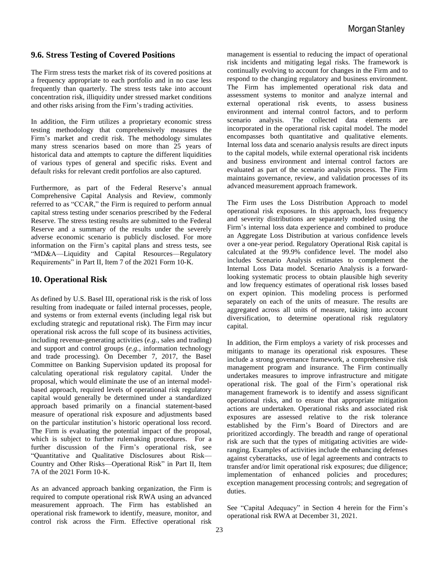## **9.6. Stress Testing of Covered Positions**

The Firm stress tests the market risk of its covered positions at a frequency appropriate to each portfolio and in no case less frequently than quarterly. The stress tests take into account concentration risk, illiquidity under stressed market conditions and other risks arising from the Firm's trading activities.

In addition, the Firm utilizes a proprietary economic stress testing methodology that comprehensively measures the Firm's market and credit risk. The methodology simulates many stress scenarios based on more than 25 years of historical data and attempts to capture the different liquidities of various types of general and specific risks. Event and default risks for relevant credit portfolios are also captured.

Furthermore, as part of the Federal Reserve's annual Comprehensive Capital Analysis and Review, commonly referred to as "CCAR," the Firm is required to perform annual capital stress testing under scenarios prescribed by the Federal Reserve. The stress testing results are submitted to the Federal Reserve and a summary of the results under the severely adverse economic scenario is publicly disclosed. For more information on the Firm's capital plans and stress tests, see "MD&A—Liquidity and Capital Resources—Regulatory Requirements" in Part II, Item 7 of the 2021 Form 10-K.

## **10. Operational Risk**

As defined by U.S. Basel III, operational risk is the risk of loss resulting from inadequate or failed internal processes, people, and systems or from external events (including legal risk but excluding strategic and reputational risk). The Firm may incur operational risk across the full scope of its business activities, including revenue-generating activities (*e.g.*, sales and trading) and support and control groups (*e.g.*, information technology and trade processing). On December 7, 2017, the Basel Committee on Banking Supervision updated its proposal for calculating operational risk regulatory capital. Under the proposal, which would eliminate the use of an internal modelbased approach, required levels of operational risk regulatory capital would generally be determined under a standardized approach based primarily on a financial statement-based measure of operational risk exposure and adjustments based on the particular institution's historic operational loss record. The Firm is evaluating the potential impact of the proposal, which is subject to further rulemaking procedures. For a further discussion of the Firm's operational risk, see "Quantitative and Qualitative Disclosures about Risk— Country and Other Risks—Operational Risk" in Part II, Item 7A of the 2021 Form 10-K.

As an advanced approach banking organization, the Firm is required to compute operational risk RWA using an advanced measurement approach. The Firm has established an operational risk framework to identify, measure, monitor, and control risk across the Firm. Effective operational risk management is essential to reducing the impact of operational risk incidents and mitigating legal risks. The framework is continually evolving to account for changes in the Firm and to respond to the changing regulatory and business environment. The Firm has implemented operational risk data and assessment systems to monitor and analyze internal and external operational risk events, to assess business environment and internal control factors, and to perform scenario analysis. The collected data elements are incorporated in the operational risk capital model. The model encompasses both quantitative and qualitative elements. Internal loss data and scenario analysis results are direct inputs to the capital models, while external operational risk incidents and business environment and internal control factors are evaluated as part of the scenario analysis process. The Firm maintains governance, review, and validation processes of its advanced measurement approach framework.

The Firm uses the Loss Distribution Approach to model operational risk exposures. In this approach, loss frequency and severity distributions are separately modeled using the Firm's internal loss data experience and combined to produce an Aggregate Loss Distribution at various confidence levels over a one-year period. Regulatory Operational Risk capital is calculated at the 99.9% confidence level. The model also includes Scenario Analysis estimates to complement the Internal Loss Data model. Scenario Analysis is a forwardlooking systematic process to obtain plausible high severity and low frequency estimates of operational risk losses based on expert opinion. This modeling process is performed separately on each of the units of measure. The results are aggregated across all units of measure, taking into account diversification, to determine operational risk regulatory capital.

In addition, the Firm employs a variety of risk processes and mitigants to manage its operational risk exposures. These include a strong governance framework, a comprehensive risk management program and insurance. The Firm continually undertakes measures to improve infrastructure and mitigate operational risk. The goal of the Firm's operational risk management framework is to identify and assess significant operational risks, and to ensure that appropriate mitigation actions are undertaken. Operational risks and associated risk exposures are assessed relative to the risk tolerance established by the Firm's Board of Directors and are prioritized accordingly. The breadth and range of operational risk are such that the types of mitigating activities are wideranging. Examples of activities include the enhancing defenses against cyberattacks, use of legal agreements and contracts to transfer and/or limit operational risk exposures; due diligence; implementation of enhanced policies and procedures; exception management processing controls; and segregation of duties.

See "Capital Adequacy" in Section 4 herein for the Firm's operational risk RWA at December 31, 2021.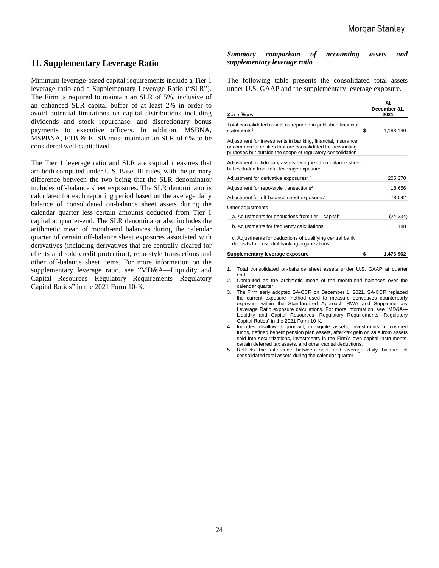## **11. Supplementary Leverage Ratio**

Minimum leverage-based capital requirements include a Tier 1 leverage ratio and a Supplementary Leverage Ratio ("SLR"). The Firm is required to maintain an SLR of 5%, inclusive of an enhanced SLR capital buffer of at least 2% in order to avoid potential limitations on capital distributions including dividends and stock repurchase, and discretionary bonus payments to executive officers. In addition, MSBNA, MSPBNA, ETB & ETSB must maintain an SLR of 6% to be considered well-capitalized.

The Tier 1 leverage ratio and SLR are capital measures that are both computed under U.S. Basel III rules, with the primary difference between the two being that the SLR denominator includes off-balance sheet exposures. The SLR denominator is calculated for each reporting period based on the average daily balance of consolidated on-balance sheet assets during the calendar quarter less certain amounts deducted from Tier 1 capital at quarter-end. The SLR denominator also includes the arithmetic mean of month-end balances during the calendar quarter of certain off-balance sheet exposures associated with derivatives (including derivatives that are centrally cleared for clients and sold credit protection), repo-style transactions and other off-balance sheet items. For more information on the supplementary leverage ratio, see "MD&A—Liquidity and Capital Resources—Regulatory Requirements—Regulatory Capital Ratios" in the 2021 Form 10-K.

#### *Summary comparison of accounting assets and supplementary leverage ratio*

The following table presents the consolidated total assets under U.S. GAAP and the supplementary leverage exposure.

| \$ in millions                                                                                                                                                                           | At<br>December 31,<br>2021 |
|------------------------------------------------------------------------------------------------------------------------------------------------------------------------------------------|----------------------------|
|                                                                                                                                                                                          |                            |
| Total consolidated assets as reported in published financial                                                                                                                             |                            |
| statements <sup>1</sup>                                                                                                                                                                  | \$<br>1,188,140            |
| Adjustment for investments in banking, financial, insurance<br>or commercial entities that are consolidated for accounting<br>purposes but outside the scope of regulatory consolidation |                            |
| Adjustment for fiduciary assets recognized on balance sheet<br>but excluded from total leverage exposure                                                                                 |                            |
| Adjustment for derivative exposures <sup>2,3</sup>                                                                                                                                       | 205,270                    |
| Adjustment for repo-style transactions <sup>2</sup>                                                                                                                                      | 18,656                     |
| Adjustment for off-balance sheet exposures <sup>2</sup>                                                                                                                                  | 78,042                     |
| Other adjustments                                                                                                                                                                        |                            |
| a. Adjustments for deductions from tier 1 capital <sup>4</sup>                                                                                                                           | (24,334)                   |
| b. Adjustments for frequency calculations <sup>5</sup>                                                                                                                                   | 11,188                     |
| c. Adjustments for deductions of qualifying central bank<br>deposits for custodial banking organizations                                                                                 |                            |

| Supplementary leverage exposure | 1.476.962 |
|---------------------------------|-----------|
|                                 |           |

- 1. Total consolidated on-balance sheet assets under U.S. GAAP at quarter end.
- 2. Computed as the arithmetic mean of the month-end balances over the calendar quarter.
- 3. The Firm early adopted SA-CCR on December 1, 2021. SA-CCR replaced the current exposure method used to measure derivatives counterparty exposure within the Standardized Approach RWA and Supplementary Leverage Ratio exposure calculations. For more information, see "MD&A— Liquidity and Capital Resources—Regulatory Requirements—Regulatory Capital Ratios" in the 2021 Form 10-K.
- 4. Includes disallowed goodwill, intangible assets, investments in covered funds, defined benefit pension plan assets, after-tax gain on sale from assets sold into securitizations, investments in the Firm's own capital instruments, certain deferred tax assets, and other capital deductions.
- 5. Reflects the difference between spot and average daily balance of consolidated total assets during the calendar quarter.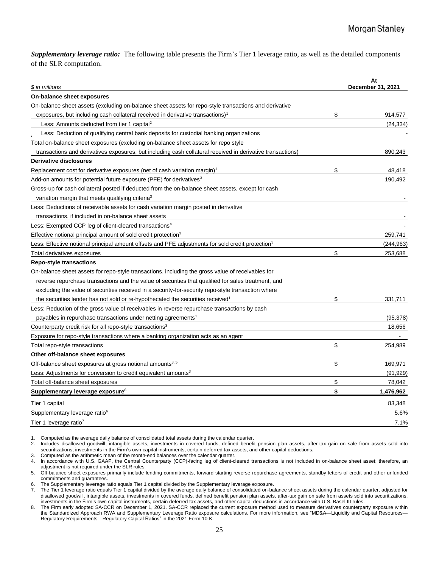*Supplementary leverage ratio:* The following table presents the Firm's Tier 1 leverage ratio, as well as the detailed components of the SLR computation.

| \$ in millions                                                                                                | At<br>December 31, 2021 |
|---------------------------------------------------------------------------------------------------------------|-------------------------|
| On-balance sheet exposures                                                                                    |                         |
| On-balance sheet assets (excluding on-balance sheet assets for repo-style transactions and derivative         |                         |
| exposures, but including cash collateral received in derivative transactions) <sup>1</sup>                    | \$<br>914,577           |
| Less: Amounts deducted from tier 1 capital <sup>2</sup>                                                       | (24, 334)               |
| Less: Deduction of qualifying central bank deposits for custodial banking organizations                       |                         |
| Total on-balance sheet exposures (excluding on-balance sheet assets for repo style                            |                         |
| transactions and derivatives exposures, but including cash collateral received in derivative transactions)    | 890,243                 |
| <b>Derivative disclosures</b>                                                                                 |                         |
| Replacement cost for derivative exposures (net of cash variation margin) <sup>1</sup>                         | \$<br>48,418            |
| Add-on amounts for potential future exposure (PFE) for derivatives <sup>3</sup>                               | 190,492                 |
| Gross-up for cash collateral posted if deducted from the on-balance sheet assets, except for cash             |                         |
| variation margin that meets qualifying criteria <sup>3</sup>                                                  |                         |
| Less: Deductions of receivable assets for cash variation margin posted in derivative                          |                         |
| transactions, if included in on-balance sheet assets                                                          |                         |
| Less: Exempted CCP leg of client-cleared transactions <sup>4</sup>                                            |                         |
| Effective notional principal amount of sold credit protection <sup>3</sup>                                    | 259.741                 |
| Less: Effective notional principal amount offsets and PFE adjustments for sold credit protection <sup>3</sup> | (244, 963)              |
| Total derivatives exposures                                                                                   | \$<br>253,688           |
| <b>Repo-style transactions</b>                                                                                |                         |
| On-balance sheet assets for repo-style transactions, including the gross value of receivables for             |                         |
| reverse repurchase transactions and the value of securities that qualified for sales treatment, and           |                         |
| excluding the value of securities received in a security-for-security repo-style transaction where            |                         |
| the securities lender has not sold or re-hypothecated the securities received <sup>1</sup>                    | \$<br>331,711           |
| Less: Reduction of the gross value of receivables in reverse repurchase transactions by cash                  |                         |
| payables in repurchase transactions under netting agreements <sup>1</sup>                                     | (95, 378)               |
| Counterparty credit risk for all repo-style transactions <sup>3</sup>                                         | 18,656                  |
| Exposure for repo-style transactions where a banking organization acts as an agent                            |                         |
| Total repo-style transactions                                                                                 | \$<br>254,989           |
| Other off-balance sheet exposures                                                                             |                         |
| Off-balance sheet exposures at gross notional amounts <sup>3, 5</sup>                                         | \$<br>169,971           |
| Less: Adjustments for conversion to credit equivalent amounts <sup>3</sup>                                    | (91, 929)               |
| Total off-balance sheet exposures                                                                             | \$<br>78.042            |
| Supplementary leverage exposure <sup>8</sup>                                                                  | \$<br>1,476,962         |
| Tier 1 capital                                                                                                | 83,348                  |
| Supplementary leverage ratio <sup>6</sup>                                                                     | 5.6%                    |
| Tier 1 leverage ratio <sup>7</sup>                                                                            | 7.1%                    |

 $1.$ 1. Computed as the average daily balance of consolidated total assets during the calendar quarter.

 $2<sub>1</sub>$ 2. Includes disallowed goodwill, intangible assets, investments in covered funds, defined benefit pension plan assets, after-tax gain on sale from assets sold into securitizations, investments in the Firm's own capital instruments, certain deferred tax assets, and other capital deductions.

 $\mathcal{S}$ Computed as the arithmetic mean of the month-end balances over the calendar quarter.

4. In accordance with U.S. GAAP, the Central Counterparty (CCP)-facing leg of client-cleared transactions is not included in on-balance sheet asset; therefore, an adjustment is not required under the SLR rules.

 $\ddot{\phantom{a}}$ 5. Off-balance sheet exposures primarily include lending commitments, forward starting reverse repurchase agreements, standby letters of credit and other unfunded commitments and guarantees.

6. The Supplementary leverage ratio equals Tier 1 capital divided by the Supplementary leverage exposure.

 $\overline{7}$ . 7. The Tier 1 leverage ratio equals Tier 1 capital divided by the average daily balance of consolidated on-balance sheet assets during the calendar quarter, adjusted for disallowed goodwill, intangible assets, investments in covered funds, defined benefit pension plan assets, after-tax gain on sale from assets sold into securitizations, investments in the Firm's own capital instruments, certain deferred tax assets, and other capital deductions in accordance with U.S. Basel III rules.

s 8 The Firm early adopted SA-CCR on December 1, 2021. SA-CCR replaced the current exposure method used to measure derivatives counterparty exposure within the Standardized Approach RWA and Supplementary Leverage Ratio exposure calculations. For more information, see "MD&A-Liquidity and Capital Resources-Regulatory Requirements—Regulatory Capital Ratios" in the 2021 Form 10-K.